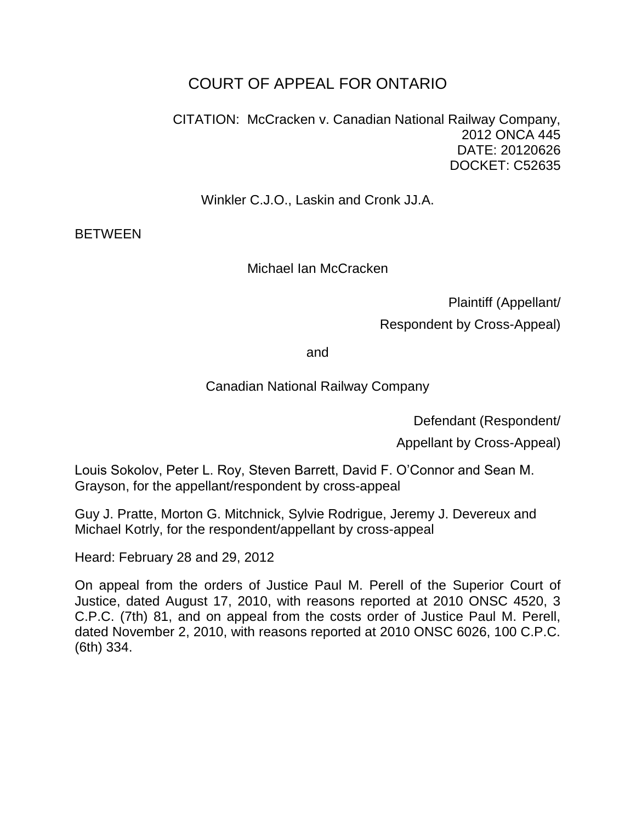# COURT OF APPEAL FOR ONTARIO

CITATION: McCracken v. Canadian National Railway Company, 2012 ONCA 445 DATE: 20120626 DOCKET: C52635

Winkler C.J.O., Laskin and Cronk JJ.A.

BETWEEN

Michael Ian McCracken

Plaintiff (Appellant/ Respondent by Cross-Appeal)

and

Canadian National Railway Company

Defendant (Respondent/

Appellant by Cross-Appeal)

Louis Sokolov, Peter L. Roy, Steven Barrett, David F. O'Connor and Sean M. Grayson, for the appellant/respondent by cross-appeal

Guy J. Pratte, Morton G. Mitchnick, Sylvie Rodrigue, Jeremy J. Devereux and Michael Kotrly, for the respondent/appellant by cross-appeal

Heard: February 28 and 29, 2012

On appeal from the orders of Justice Paul M. Perell of the Superior Court of Justice, dated August 17, 2010, with reasons reported at 2010 ONSC 4520, 3 C.P.C. (7th) 81, and on appeal from the costs order of Justice Paul M. Perell, dated November 2, 2010, with reasons reported at 2010 ONSC 6026, 100 C.P.C. (6th) 334.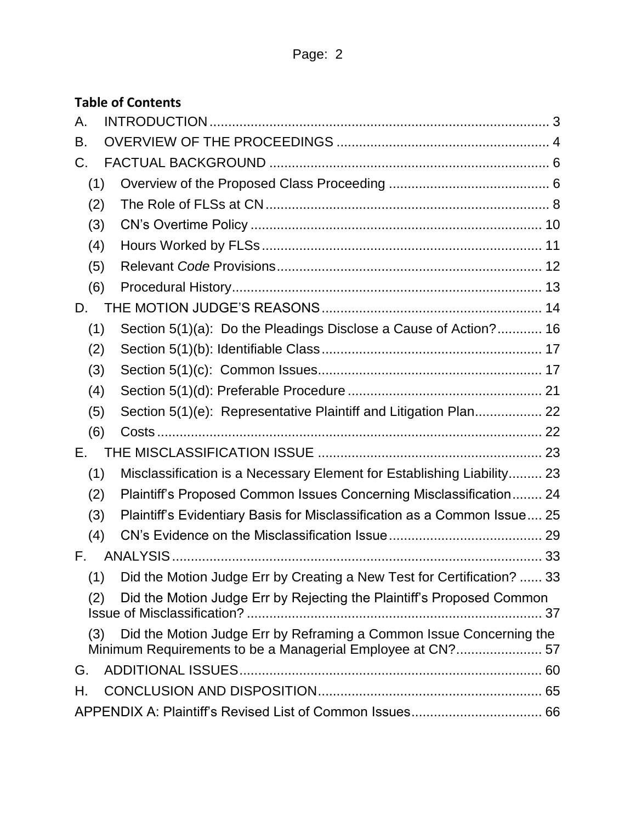# **Table of Contents**

| Α.                                                                                                                                       |  |                                                                            |  |
|------------------------------------------------------------------------------------------------------------------------------------------|--|----------------------------------------------------------------------------|--|
| B.                                                                                                                                       |  |                                                                            |  |
| C.                                                                                                                                       |  |                                                                            |  |
| (1)                                                                                                                                      |  |                                                                            |  |
| (2)                                                                                                                                      |  |                                                                            |  |
| (3)                                                                                                                                      |  |                                                                            |  |
| (4)                                                                                                                                      |  |                                                                            |  |
| (5)                                                                                                                                      |  |                                                                            |  |
| (6)                                                                                                                                      |  |                                                                            |  |
| D.                                                                                                                                       |  |                                                                            |  |
| (1)                                                                                                                                      |  | Section 5(1)(a): Do the Pleadings Disclose a Cause of Action? 16           |  |
| (2)                                                                                                                                      |  |                                                                            |  |
| (3)                                                                                                                                      |  |                                                                            |  |
| (4)                                                                                                                                      |  |                                                                            |  |
| (5)                                                                                                                                      |  | Section 5(1)(e): Representative Plaintiff and Litigation Plan 22           |  |
| (6)                                                                                                                                      |  |                                                                            |  |
| Е.                                                                                                                                       |  |                                                                            |  |
| (1)                                                                                                                                      |  | Misclassification is a Necessary Element for Establishing Liability 23     |  |
| (2)                                                                                                                                      |  | Plaintiff's Proposed Common Issues Concerning Misclassification 24         |  |
| (3)                                                                                                                                      |  | Plaintiff's Evidentiary Basis for Misclassification as a Common Issue 25   |  |
| (4)                                                                                                                                      |  |                                                                            |  |
| F.                                                                                                                                       |  |                                                                            |  |
|                                                                                                                                          |  | (1) Did the Motion Judge Err by Creating a New Test for Certification?  33 |  |
| (2)                                                                                                                                      |  | Did the Motion Judge Err by Rejecting the Plaintiff's Proposed Common      |  |
| Did the Motion Judge Err by Reframing a Common Issue Concerning the<br>(3)<br>Minimum Requirements to be a Managerial Employee at CN? 57 |  |                                                                            |  |
| G.                                                                                                                                       |  |                                                                            |  |
| Η.                                                                                                                                       |  |                                                                            |  |
|                                                                                                                                          |  |                                                                            |  |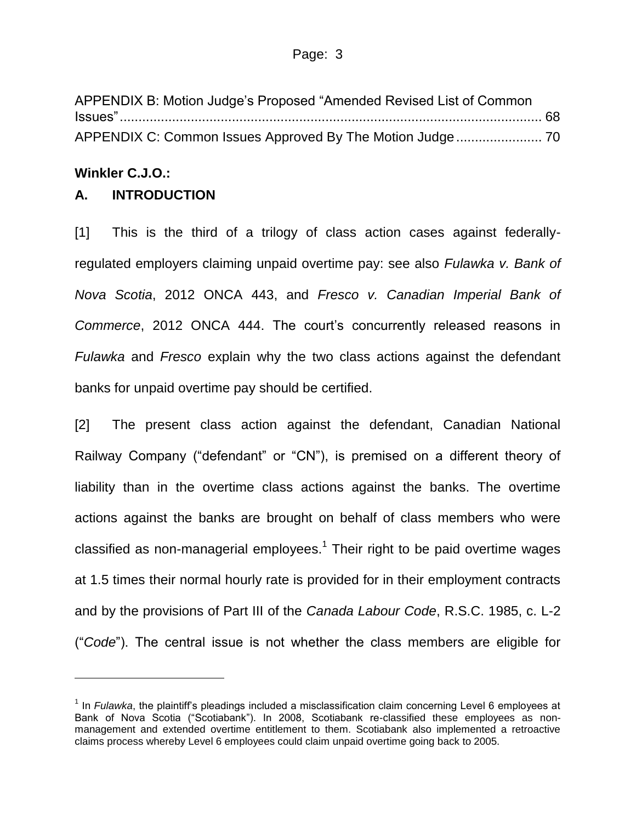| APPENDIX B: Motion Judge's Proposed "Amended Revised List of Common |  |
|---------------------------------------------------------------------|--|
|                                                                     |  |
|                                                                     |  |

#### **Winkler C.J.O.:**

l

#### <span id="page-2-0"></span>**A. INTRODUCTION**

[1] This is the third of a trilogy of class action cases against federallyregulated employers claiming unpaid overtime pay: see also *Fulawka v. Bank of Nova Scotia*, 2012 ONCA 443, and *Fresco v. Canadian Imperial Bank of Commerce*, 2012 ONCA 444. The court's concurrently released reasons in *Fulawka* and *Fresco* explain why the two class actions against the defendant banks for unpaid overtime pay should be certified.

[2] The present class action against the defendant, Canadian National Railway Company ("defendant" or "CN"), is premised on a different theory of liability than in the overtime class actions against the banks. The overtime actions against the banks are brought on behalf of class members who were classified as non-managerial employees. $1$  Their right to be paid overtime wages at 1.5 times their normal hourly rate is provided for in their employment contracts and by the provisions of Part III of the *Canada Labour Code*, R.S.C. 1985, c. L-2 ("*Code*"). The central issue is not whether the class members are eligible for

<sup>&</sup>lt;sup>1</sup> In *Fulawka*, the plaintiff's pleadings included a misclassification claim concerning Level 6 employees at Bank of Nova Scotia ("Scotiabank"). In 2008, Scotiabank re-classified these employees as nonmanagement and extended overtime entitlement to them. Scotiabank also implemented a retroactive claims process whereby Level 6 employees could claim unpaid overtime going back to 2005.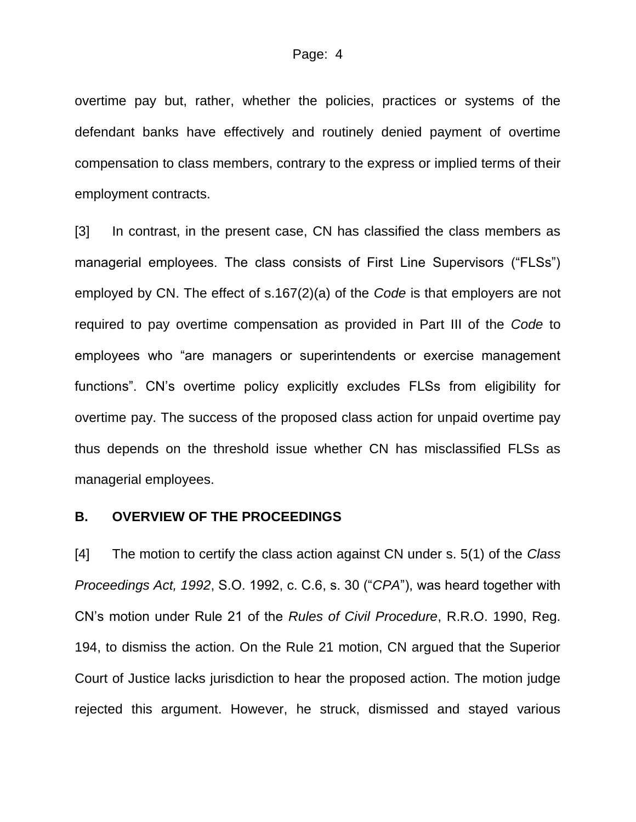overtime pay but, rather, whether the policies, practices or systems of the defendant banks have effectively and routinely denied payment of overtime compensation to class members, contrary to the express or implied terms of their employment contracts.

[3] In contrast, in the present case, CN has classified the class members as managerial employees. The class consists of First Line Supervisors ("FLSs") employed by CN. The effect of s.167(2)(a) of the *Code* is that employers are not required to pay overtime compensation as provided in Part III of the *Code* to employees who "are managers or superintendents or exercise management functions". CN's overtime policy explicitly excludes FLSs from eligibility for overtime pay. The success of the proposed class action for unpaid overtime pay thus depends on the threshold issue whether CN has misclassified FLSs as managerial employees.

#### <span id="page-3-0"></span>**B. OVERVIEW OF THE PROCEEDINGS**

[4] The motion to certify the class action against CN under s. 5(1) of the *Class Proceedings Act, 1992*, S.O. 1992, c. C.6, s. 30 ("*CPA*"), was heard together with CN's motion under Rule 21 of the *Rules of Civil Procedure*, R.R.O. 1990, Reg. 194, to dismiss the action. On the Rule 21 motion, CN argued that the Superior Court of Justice lacks jurisdiction to hear the proposed action. The motion judge rejected this argument. However, he struck, dismissed and stayed various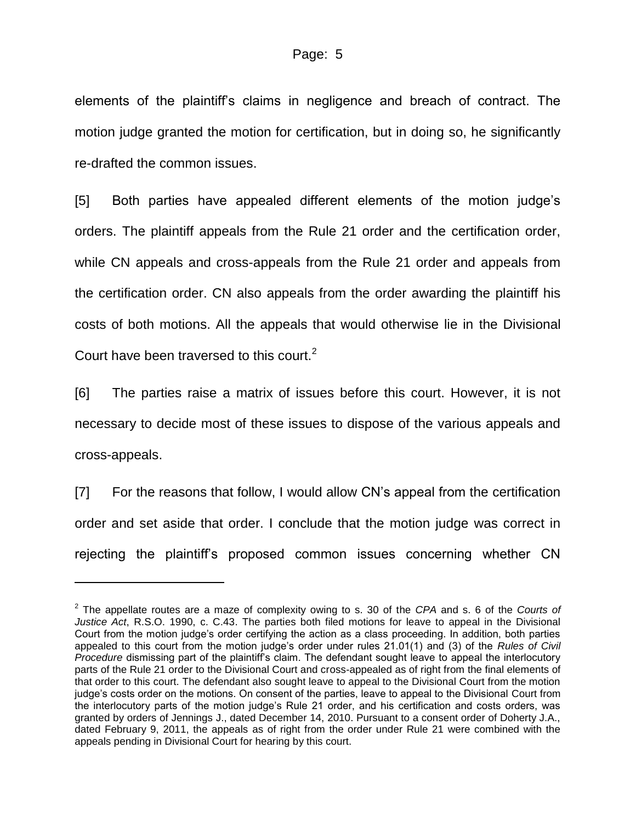elements of the plaintiff's claims in negligence and breach of contract. The motion judge granted the motion for certification, but in doing so, he significantly re-drafted the common issues.

[5] Both parties have appealed different elements of the motion judge's orders. The plaintiff appeals from the Rule 21 order and the certification order, while CN appeals and cross-appeals from the Rule 21 order and appeals from the certification order. CN also appeals from the order awarding the plaintiff his costs of both motions. All the appeals that would otherwise lie in the Divisional Court have been traversed to this court.<sup>2</sup>

[6] The parties raise a matrix of issues before this court. However, it is not necessary to decide most of these issues to dispose of the various appeals and cross-appeals.

[7] For the reasons that follow, I would allow CN's appeal from the certification order and set aside that order. I conclude that the motion judge was correct in rejecting the plaintiff's proposed common issues concerning whether CN

<sup>2</sup> The appellate routes are a maze of complexity owing to s. 30 of the *CPA* and s. 6 of the *Courts of Justice Act*, R.S.O. 1990, c. C.43. The parties both filed motions for leave to appeal in the Divisional Court from the motion judge's order certifying the action as a class proceeding. In addition, both parties appealed to this court from the motion judge's order under rules 21.01(1) and (3) of the *Rules of Civil Procedure* dismissing part of the plaintiff's claim. The defendant sought leave to appeal the interlocutory parts of the Rule 21 order to the Divisional Court and cross-appealed as of right from the final elements of that order to this court. The defendant also sought leave to appeal to the Divisional Court from the motion judge's costs order on the motions. On consent of the parties, leave to appeal to the Divisional Court from the interlocutory parts of the motion judge's Rule 21 order, and his certification and costs orders, was granted by orders of Jennings J., dated December 14, 2010. Pursuant to a consent order of Doherty J.A., dated February 9, 2011, the appeals as of right from the order under Rule 21 were combined with the appeals pending in Divisional Court for hearing by this court.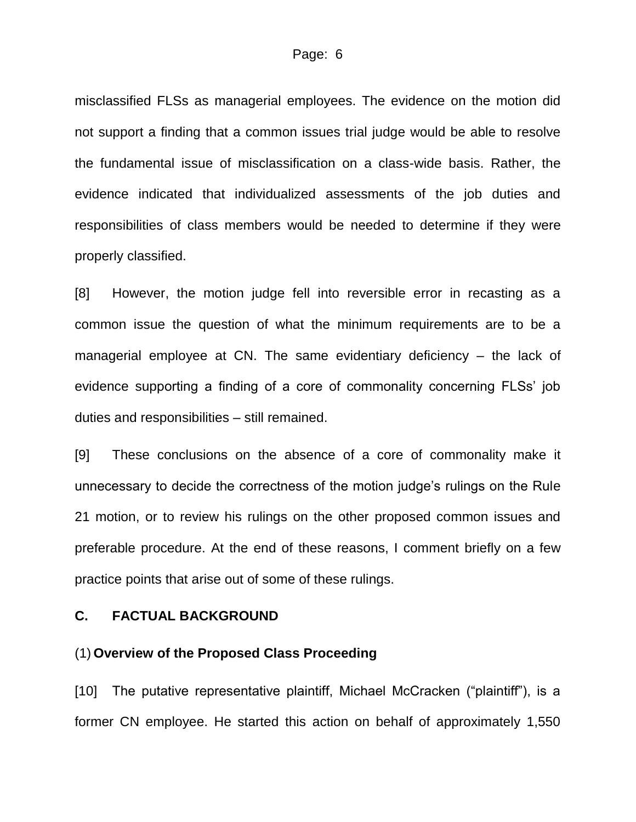misclassified FLSs as managerial employees. The evidence on the motion did not support a finding that a common issues trial judge would be able to resolve the fundamental issue of misclassification on a class-wide basis. Rather, the evidence indicated that individualized assessments of the job duties and responsibilities of class members would be needed to determine if they were properly classified.

[8] However, the motion judge fell into reversible error in recasting as a common issue the question of what the minimum requirements are to be a managerial employee at CN. The same evidentiary deficiency – the lack of evidence supporting a finding of a core of commonality concerning FLSs' job duties and responsibilities – still remained.

[9] These conclusions on the absence of a core of commonality make it unnecessary to decide the correctness of the motion judge's rulings on the Rule 21 motion, or to review his rulings on the other proposed common issues and preferable procedure. At the end of these reasons, I comment briefly on a few practice points that arise out of some of these rulings.

#### <span id="page-5-0"></span>**C. FACTUAL BACKGROUND**

#### <span id="page-5-1"></span>(1) **Overview of the Proposed Class Proceeding**

[10] The putative representative plaintiff, Michael McCracken ("plaintiff"), is a former CN employee. He started this action on behalf of approximately 1,550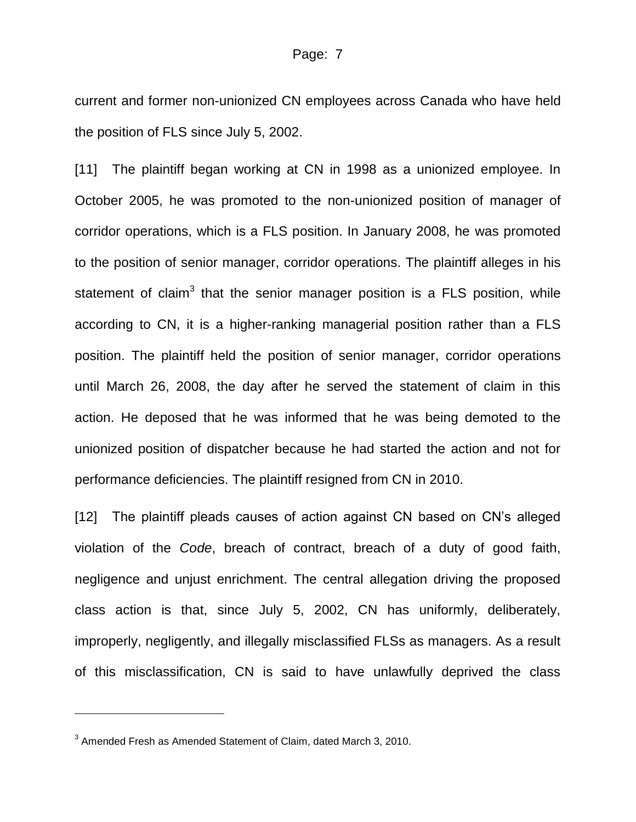current and former non-unionized CN employees across Canada who have held the position of FLS since July 5, 2002.

[11] The plaintiff began working at CN in 1998 as a unionized employee. In October 2005, he was promoted to the non-unionized position of manager of corridor operations, which is a FLS position. In January 2008, he was promoted to the position of senior manager, corridor operations. The plaintiff alleges in his statement of claim<sup>3</sup> that the senior manager position is a FLS position, while according to CN, it is a higher-ranking managerial position rather than a FLS position. The plaintiff held the position of senior manager, corridor operations until March 26, 2008, the day after he served the statement of claim in this action. He deposed that he was informed that he was being demoted to the unionized position of dispatcher because he had started the action and not for performance deficiencies. The plaintiff resigned from CN in 2010.

[12] The plaintiff pleads causes of action against CN based on CN's alleged violation of the *Code*, breach of contract, breach of a duty of good faith, negligence and unjust enrichment. The central allegation driving the proposed class action is that, since July 5, 2002, CN has uniformly, deliberately, improperly, negligently, and illegally misclassified FLSs as managers. As a result of this misclassification, CN is said to have unlawfully deprived the class

l

 $^3$  Amended Fresh as Amended Statement of Claim, dated March 3, 2010.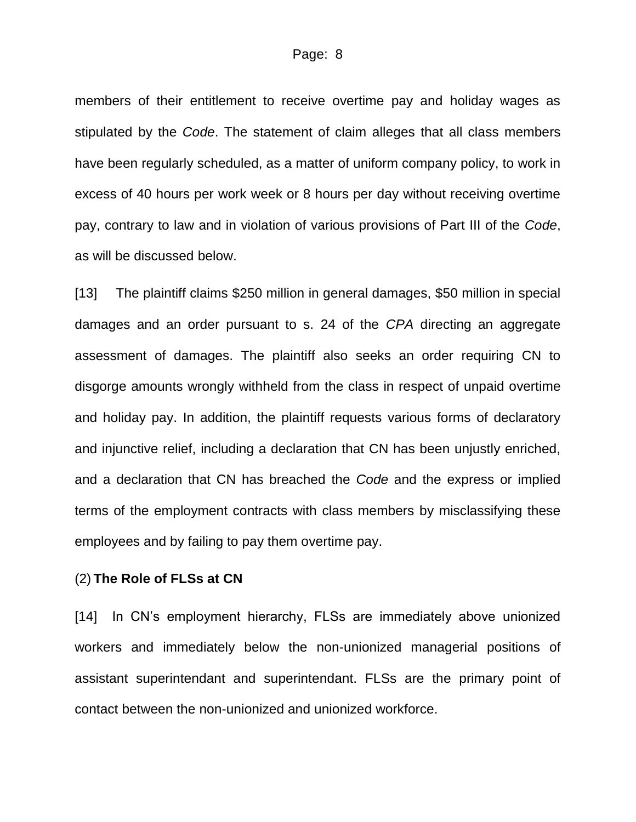members of their entitlement to receive overtime pay and holiday wages as stipulated by the *Code*. The statement of claim alleges that all class members have been regularly scheduled, as a matter of uniform company policy, to work in excess of 40 hours per work week or 8 hours per day without receiving overtime pay, contrary to law and in violation of various provisions of Part III of the *Code*, as will be discussed below.

[13] The plaintiff claims \$250 million in general damages, \$50 million in special damages and an order pursuant to s. 24 of the *CPA* directing an aggregate assessment of damages. The plaintiff also seeks an order requiring CN to disgorge amounts wrongly withheld from the class in respect of unpaid overtime and holiday pay. In addition, the plaintiff requests various forms of declaratory and injunctive relief, including a declaration that CN has been unjustly enriched, and a declaration that CN has breached the *Code* and the express or implied terms of the employment contracts with class members by misclassifying these employees and by failing to pay them overtime pay.

#### <span id="page-7-0"></span>(2) **The Role of FLSs at CN**

[14] In CN's employment hierarchy, FLSs are immediately above unionized workers and immediately below the non-unionized managerial positions of assistant superintendant and superintendant. FLSs are the primary point of contact between the non-unionized and unionized workforce.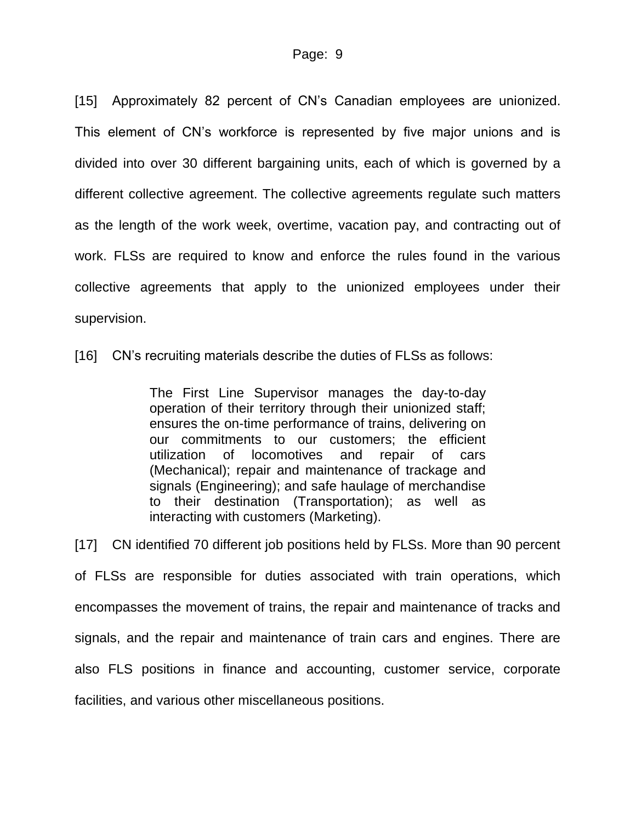[15] Approximately 82 percent of CN's Canadian employees are unionized. This element of CN's workforce is represented by five major unions and is divided into over 30 different bargaining units, each of which is governed by a different collective agreement. The collective agreements regulate such matters as the length of the work week, overtime, vacation pay, and contracting out of work. FLSs are required to know and enforce the rules found in the various collective agreements that apply to the unionized employees under their supervision.

[16] CN's recruiting materials describe the duties of FLSs as follows:

The First Line Supervisor manages the day-to-day operation of their territory through their unionized staff; ensures the on-time performance of trains, delivering on our commitments to our customers; the efficient utilization of locomotives and repair of cars (Mechanical); repair and maintenance of trackage and signals (Engineering); and safe haulage of merchandise to their destination (Transportation); as well as interacting with customers (Marketing).

[17] CN identified 70 different job positions held by FLSs. More than 90 percent of FLSs are responsible for duties associated with train operations, which encompasses the movement of trains, the repair and maintenance of tracks and signals, and the repair and maintenance of train cars and engines. There are also FLS positions in finance and accounting, customer service, corporate facilities, and various other miscellaneous positions.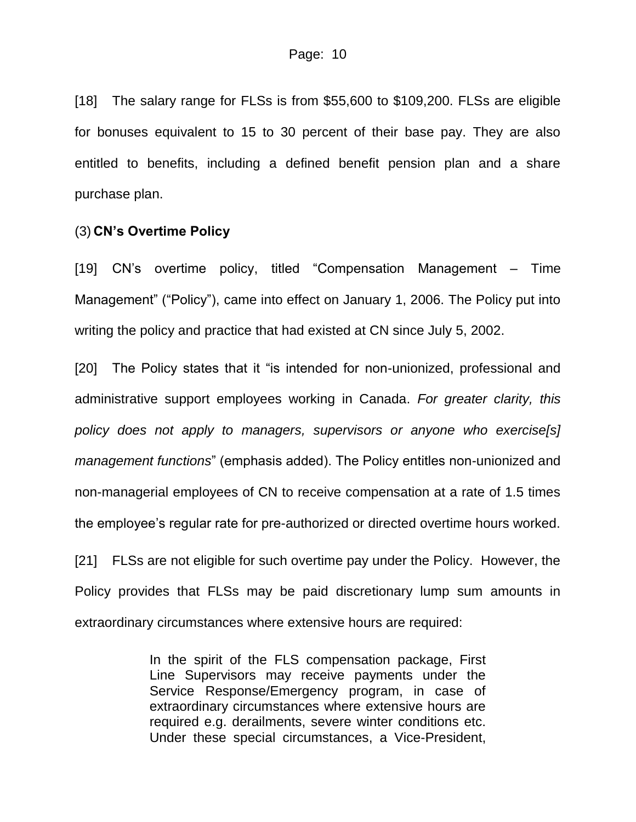[18] The salary range for FLSs is from \$55,600 to \$109,200. FLSs are eligible for bonuses equivalent to 15 to 30 percent of their base pay. They are also entitled to benefits, including a defined benefit pension plan and a share purchase plan.

#### <span id="page-9-0"></span>(3) **CN's Overtime Policy**

[19] CN's overtime policy, titled "Compensation Management – Time Management" ("Policy"), came into effect on January 1, 2006. The Policy put into writing the policy and practice that had existed at CN since July 5, 2002.

[20] The Policy states that it "is intended for non-unionized, professional and administrative support employees working in Canada. *For greater clarity, this policy does not apply to managers, supervisors or anyone who exercise[s] management functions*" (emphasis added). The Policy entitles non-unionized and non-managerial employees of CN to receive compensation at a rate of 1.5 times the employee's regular rate for pre-authorized or directed overtime hours worked.

[21] FLSs are not eligible for such overtime pay under the Policy. However, the Policy provides that FLSs may be paid discretionary lump sum amounts in extraordinary circumstances where extensive hours are required:

> In the spirit of the FLS compensation package, First Line Supervisors may receive payments under the Service Response/Emergency program, in case of extraordinary circumstances where extensive hours are required e.g. derailments, severe winter conditions etc. Under these special circumstances, a Vice-President,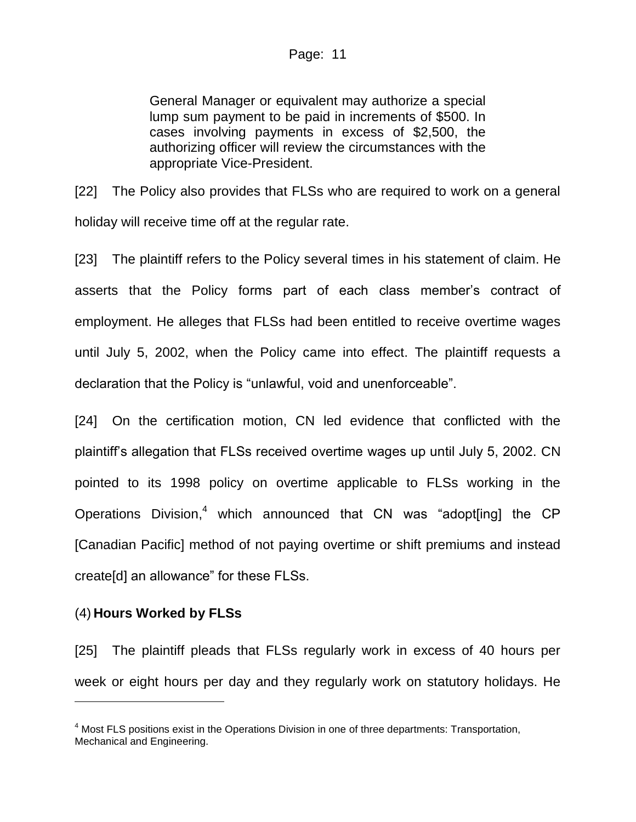### Page: 11

General Manager or equivalent may authorize a special lump sum payment to be paid in increments of \$500. In cases involving payments in excess of \$2,500, the authorizing officer will review the circumstances with the appropriate Vice-President.

[22] The Policy also provides that FLSs who are required to work on a general holiday will receive time off at the regular rate.

[23] The plaintiff refers to the Policy several times in his statement of claim. He asserts that the Policy forms part of each class member's contract of employment. He alleges that FLSs had been entitled to receive overtime wages until July 5, 2002, when the Policy came into effect. The plaintiff requests a declaration that the Policy is "unlawful, void and unenforceable".

[24] On the certification motion, CN led evidence that conflicted with the plaintiff's allegation that FLSs received overtime wages up until July 5, 2002. CN pointed to its 1998 policy on overtime applicable to FLSs working in the Operations Division,<sup>4</sup> which announced that CN was "adopt[ing] the CP [Canadian Pacific] method of not paying overtime or shift premiums and instead create[d] an allowance" for these FLSs.

## <span id="page-10-0"></span>(4) **Hours Worked by FLSs**

l

[25] The plaintiff pleads that FLSs regularly work in excess of 40 hours per week or eight hours per day and they regularly work on statutory holidays. He

<sup>&</sup>lt;sup>4</sup> Most FLS positions exist in the Operations Division in one of three departments: Transportation, Mechanical and Engineering.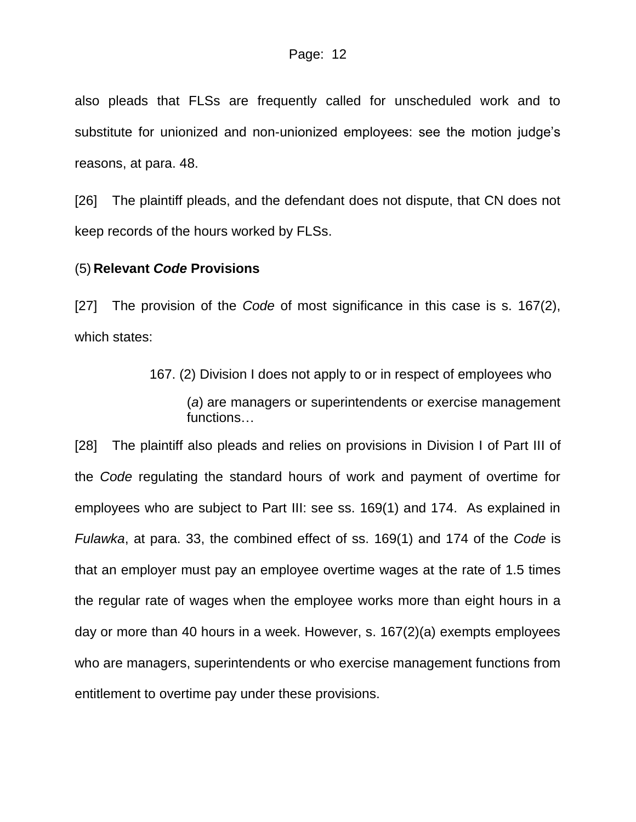also pleads that FLSs are frequently called for unscheduled work and to substitute for unionized and non-unionized employees: see the motion judge's reasons, at para. 48.

[26] The plaintiff pleads, and the defendant does not dispute, that CN does not keep records of the hours worked by FLSs.

#### <span id="page-11-0"></span>(5) **Relevant** *Code* **Provisions**

[27] The provision of the *Code* of most significance in this case is s. 167(2), which states:

167. (2) Division I does not apply to or in respect of employees who

(*a*) are managers or superintendents or exercise management functions…

[28] The plaintiff also pleads and relies on provisions in Division I of Part III of the *Code* regulating the standard hours of work and payment of overtime for employees who are subject to Part III: see ss. 169(1) and 174. As explained in *Fulawka*, at para. 33, the combined effect of ss. 169(1) and 174 of the *Code* is that an employer must pay an employee overtime wages at the rate of 1.5 times the regular rate of wages when the employee works more than eight hours in a day or more than 40 hours in a week. However, s. 167(2)(a) exempts employees who are managers, superintendents or who exercise management functions from entitlement to overtime pay under these provisions.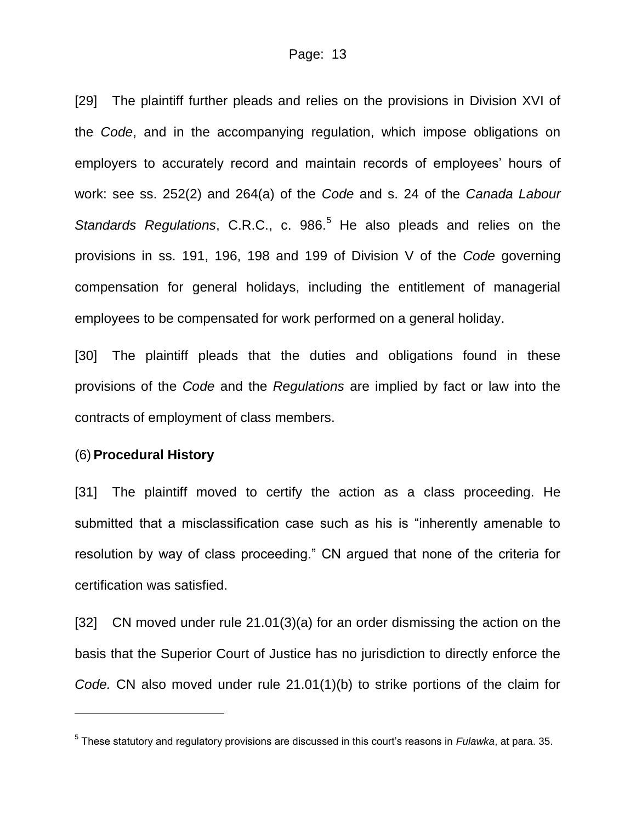[29] The plaintiff further pleads and relies on the provisions in Division XVI of the *Code*, and in the accompanying regulation, which impose obligations on employers to accurately record and maintain records of employees' hours of work: see ss. 252(2) and 264(a) of the *Code* and s. 24 of the *Canada Labour Standards Regulations*, C.R.C., c. 986.<sup>5</sup> He also pleads and relies on the provisions in ss. 191, 196, 198 and 199 of Division V of the *Code* governing compensation for general holidays, including the entitlement of managerial employees to be compensated for work performed on a general holiday.

[30] The plaintiff pleads that the duties and obligations found in these provisions of the *Code* and the *Regulations* are implied by fact or law into the contracts of employment of class members.

#### <span id="page-12-0"></span>(6) **Procedural History**

l

[31] The plaintiff moved to certify the action as a class proceeding. He submitted that a misclassification case such as his is "inherently amenable to resolution by way of class proceeding." CN argued that none of the criteria for certification was satisfied.

[32] CN moved under rule 21.01(3)(a) for an order dismissing the action on the basis that the Superior Court of Justice has no jurisdiction to directly enforce the *Code.* CN also moved under rule 21.01(1)(b) to strike portions of the claim for

<sup>5</sup> These statutory and regulatory provisions are discussed in this court's reasons in *Fulawka*, at para. 35.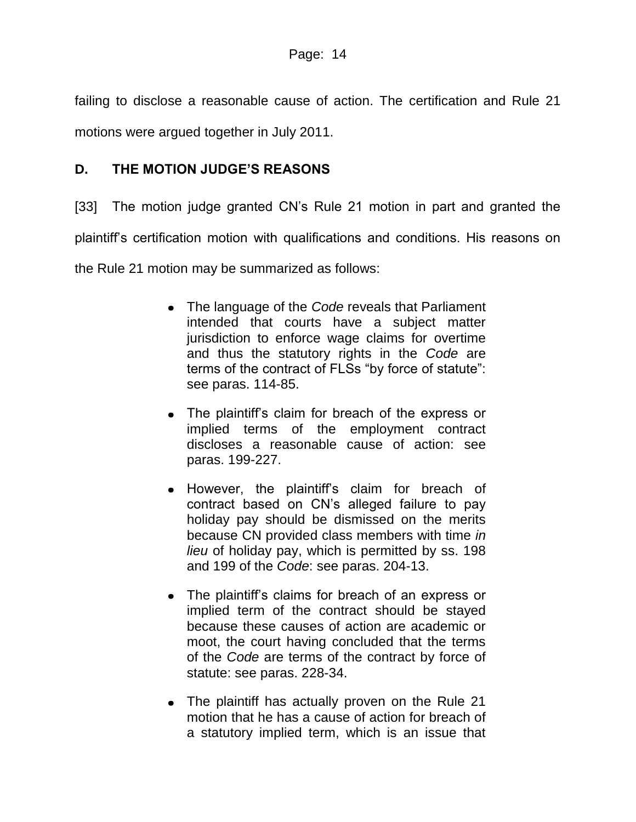failing to disclose a reasonable cause of action. The certification and Rule 21 motions were argued together in July 2011.

## <span id="page-13-0"></span>**D. THE MOTION JUDGE'S REASONS**

[33] The motion judge granted CN's Rule 21 motion in part and granted the plaintiff's certification motion with qualifications and conditions. His reasons on the Rule 21 motion may be summarized as follows:

- The language of the *Code* reveals that Parliament intended that courts have a subject matter jurisdiction to enforce wage claims for overtime and thus the statutory rights in the *Code* are terms of the contract of FLSs "by force of statute": see paras. 114-85.
- The plaintiff's claim for breach of the express or implied terms of the employment contract discloses a reasonable cause of action: see paras. 199-227.
- However, the plaintiff's claim for breach of contract based on CN's alleged failure to pay holiday pay should be dismissed on the merits because CN provided class members with time *in lieu* of holiday pay, which is permitted by ss. 198 and 199 of the *Code*: see paras. 204-13.
- The plaintiff's claims for breach of an express or implied term of the contract should be stayed because these causes of action are academic or moot, the court having concluded that the terms of the *Code* are terms of the contract by force of statute: see paras. 228-34.
- The plaintiff has actually proven on the Rule 21 motion that he has a cause of action for breach of a statutory implied term, which is an issue that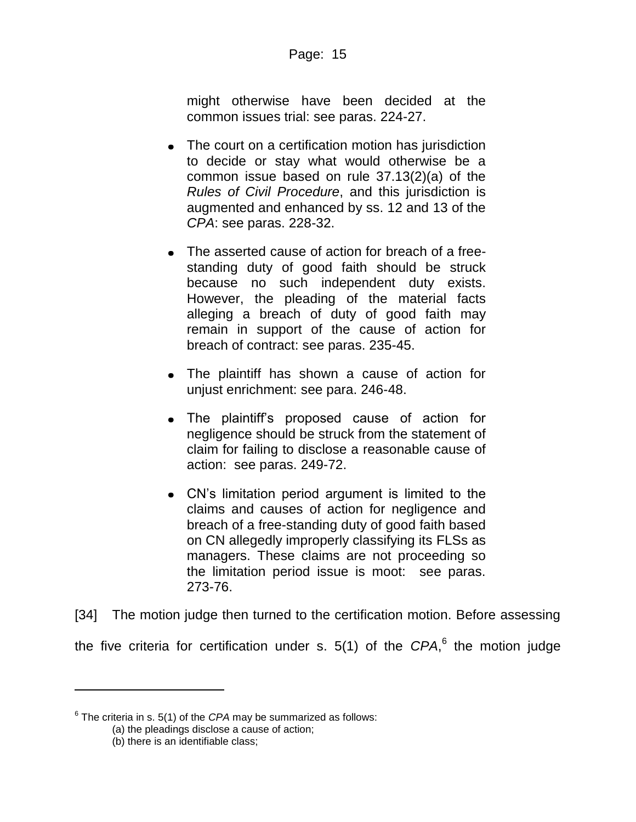might otherwise have been decided at the common issues trial: see paras. 224-27.

- The court on a certification motion has jurisdiction to decide or stay what would otherwise be a common issue based on rule 37.13(2)(a) of the *Rules of Civil Procedure*, and this jurisdiction is augmented and enhanced by ss. 12 and 13 of the *CPA*: see paras. 228-32.
- The asserted cause of action for breach of a freestanding duty of good faith should be struck because no such independent duty exists. However, the pleading of the material facts alleging a breach of duty of good faith may remain in support of the cause of action for breach of contract: see paras. 235-45.
- The plaintiff has shown a cause of action for unjust enrichment: see para. 246-48.
- The plaintiff's proposed cause of action for negligence should be struck from the statement of claim for failing to disclose a reasonable cause of action: see paras. 249-72.
- CN's limitation period argument is limited to the claims and causes of action for negligence and breach of a free-standing duty of good faith based on CN allegedly improperly classifying its FLSs as managers. These claims are not proceeding so the limitation period issue is moot: see paras. 273-76.

[34] The motion judge then turned to the certification motion. Before assessing

the five criteria for certification under s. 5(1) of the *CPA*, 6 the motion judge

 $6$  The criteria in s. 5(1) of the *CPA* may be summarized as follows:

<sup>(</sup>a) the pleadings disclose a cause of action;

<sup>(</sup>b) there is an identifiable class;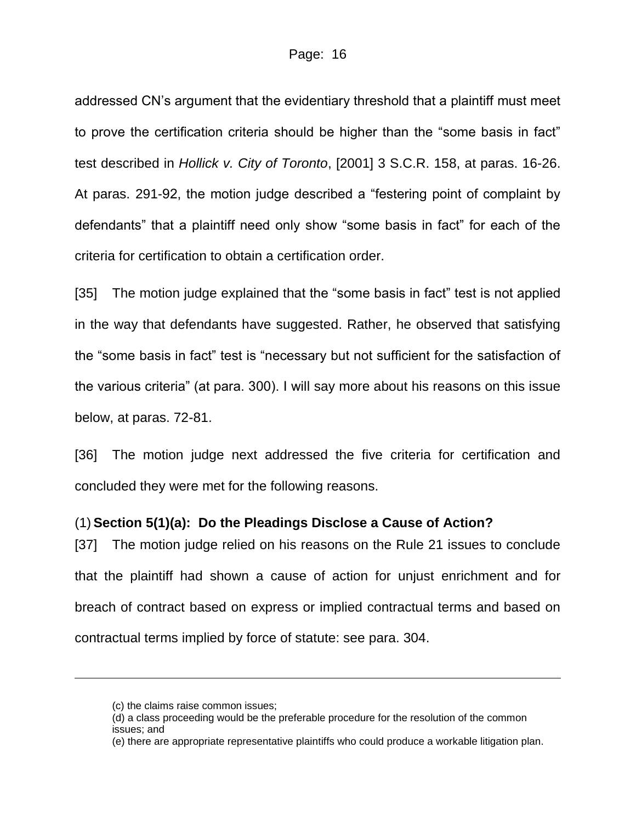addressed CN's argument that the evidentiary threshold that a plaintiff must meet to prove the certification criteria should be higher than the "some basis in fact" test described in *Hollick v. City of Toronto*, [2001] 3 S.C.R. 158, at paras. 16-26. At paras. 291-92, the motion judge described a "festering point of complaint by defendants" that a plaintiff need only show "some basis in fact" for each of the criteria for certification to obtain a certification order.

[35] The motion judge explained that the "some basis in fact" test is not applied in the way that defendants have suggested. Rather, he observed that satisfying the "some basis in fact" test is "necessary but not sufficient for the satisfaction of the various criteria" (at para. 300). I will say more about his reasons on this issue below, at paras. 72-81.

[36] The motion judge next addressed the five criteria for certification and concluded they were met for the following reasons.

## <span id="page-15-0"></span>(1) **Section 5(1)(a): Do the Pleadings Disclose a Cause of Action?**

[37] The motion judge relied on his reasons on the Rule 21 issues to conclude that the plaintiff had shown a cause of action for unjust enrichment and for breach of contract based on express or implied contractual terms and based on contractual terms implied by force of statute: see para. 304.

l

<sup>(</sup>c) the claims raise common issues;

<sup>(</sup>d) a class proceeding would be the preferable procedure for the resolution of the common issues; and

<sup>(</sup>e) there are appropriate representative plaintiffs who could produce a workable litigation plan.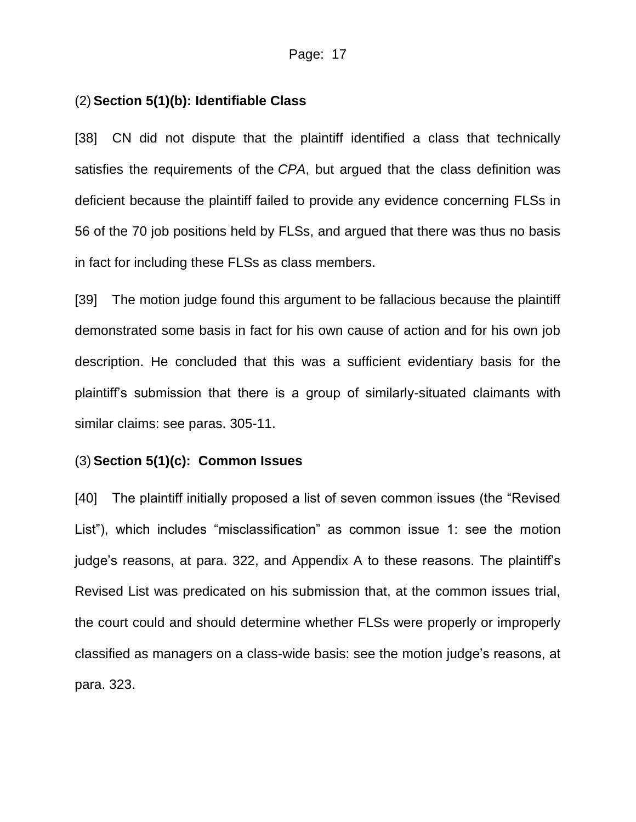### <span id="page-16-0"></span>(2) **Section 5(1)(b): Identifiable Class**

[38] CN did not dispute that the plaintiff identified a class that technically satisfies the requirements of the *CPA*, but argued that the class definition was deficient because the plaintiff failed to provide any evidence concerning FLSs in 56 of the 70 job positions held by FLSs, and argued that there was thus no basis in fact for including these FLSs as class members.

[39] The motion judge found this argument to be fallacious because the plaintiff demonstrated some basis in fact for his own cause of action and for his own job description. He concluded that this was a sufficient evidentiary basis for the plaintiff's submission that there is a group of similarly-situated claimants with similar claims: see paras. 305-11.

#### <span id="page-16-1"></span>(3) **Section 5(1)(c): Common Issues**

[40] The plaintiff initially proposed a list of seven common issues (the "Revised List"), which includes "misclassification" as common issue 1: see the motion judge's reasons, at para. 322, and Appendix A to these reasons. The plaintiff's Revised List was predicated on his submission that, at the common issues trial, the court could and should determine whether FLSs were properly or improperly classified as managers on a class-wide basis: see the motion judge's reasons, at para. 323.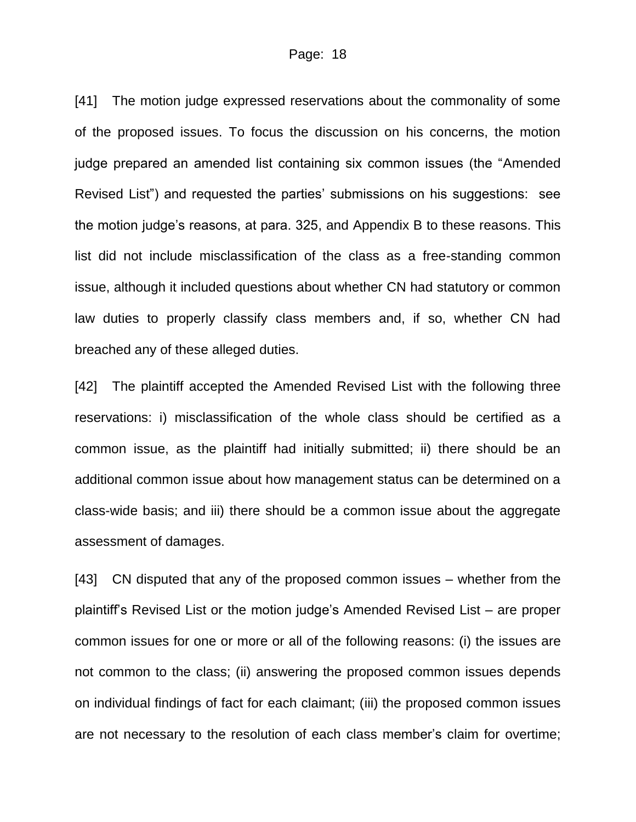[41] The motion judge expressed reservations about the commonality of some of the proposed issues. To focus the discussion on his concerns, the motion judge prepared an amended list containing six common issues (the "Amended Revised List") and requested the parties' submissions on his suggestions: see the motion judge's reasons, at para. 325, and Appendix B to these reasons. This list did not include misclassification of the class as a free-standing common issue, although it included questions about whether CN had statutory or common law duties to properly classify class members and, if so, whether CN had breached any of these alleged duties.

[42] The plaintiff accepted the Amended Revised List with the following three reservations: i) misclassification of the whole class should be certified as a common issue, as the plaintiff had initially submitted; ii) there should be an additional common issue about how management status can be determined on a class-wide basis; and iii) there should be a common issue about the aggregate assessment of damages.

[43] CN disputed that any of the proposed common issues – whether from the plaintiff's Revised List or the motion judge's Amended Revised List – are proper common issues for one or more or all of the following reasons: (i) the issues are not common to the class; (ii) answering the proposed common issues depends on individual findings of fact for each claimant; (iii) the proposed common issues are not necessary to the resolution of each class member's claim for overtime;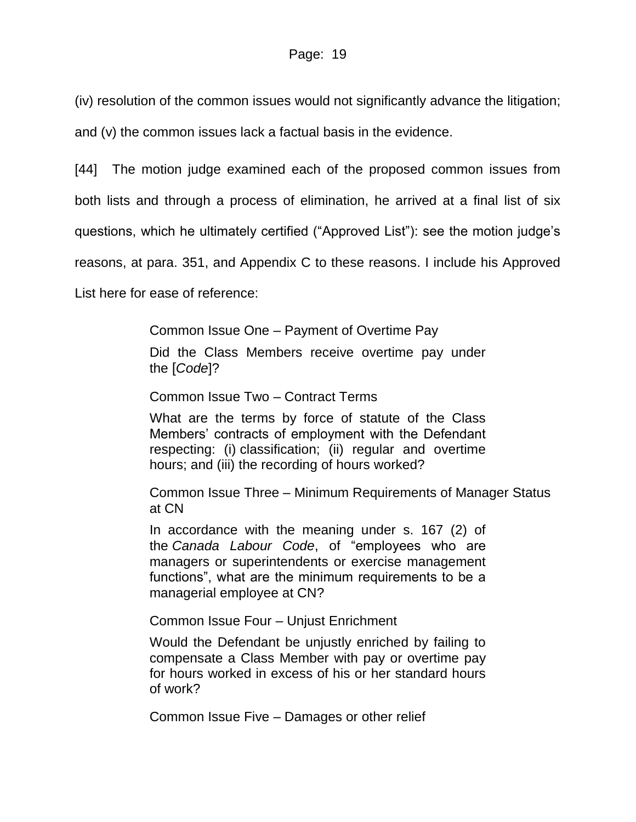(iv) resolution of the common issues would not significantly advance the litigation; and (v) the common issues lack a factual basis in the evidence.

[44] The motion judge examined each of the proposed common issues from

both lists and through a process of elimination, he arrived at a final list of six

questions, which he ultimately certified ("Approved List"): see the motion judge's

reasons, at para. 351, and Appendix C to these reasons. I include his Approved

List here for ease of reference:

Common Issue One – Payment of Overtime Pay

Did the Class Members receive overtime pay under the [*Code*]?

Common Issue Two – Contract Terms

What are the terms by force of statute of the Class Members' contracts of employment with the Defendant respecting: (i) classification; (ii) regular and overtime hours; and (iii) the recording of hours worked?

Common Issue Three – Minimum Requirements of Manager Status at CN

In accordance with the meaning under s. 167 (2) of the *Canada Labour Code*, of "employees who are managers or superintendents or exercise management functions", what are the minimum requirements to be a managerial employee at CN?

Common Issue Four – Unjust Enrichment

Would the Defendant be unjustly enriched by failing to compensate a Class Member with pay or overtime pay for hours worked in excess of his or her standard hours of work?

Common Issue Five – Damages or other relief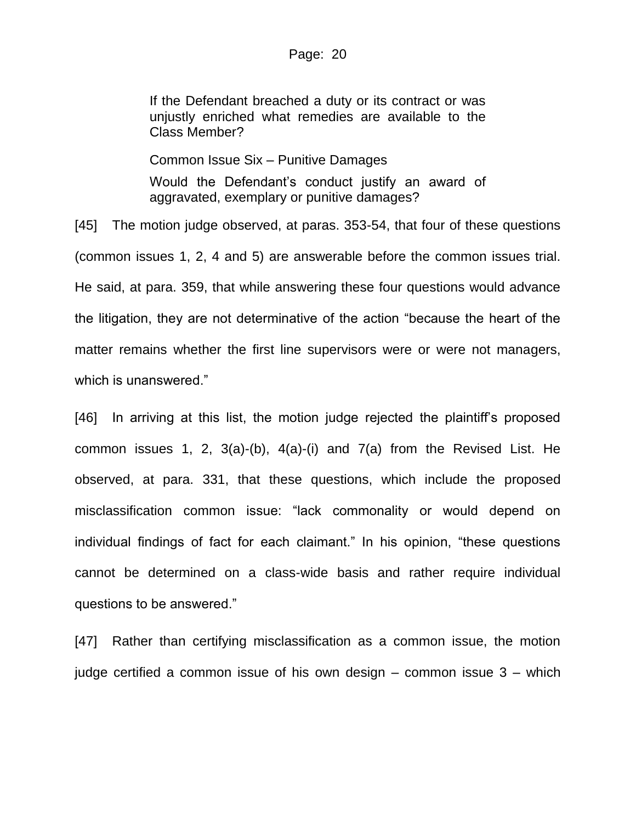If the Defendant breached a duty or its contract or was unjustly enriched what remedies are available to the Class Member?

Common Issue Six – Punitive Damages Would the Defendant's conduct justify an award of aggravated, exemplary or punitive damages?

[45] The motion judge observed, at paras. 353-54, that four of these questions (common issues 1, 2, 4 and 5) are answerable before the common issues trial. He said, at para. 359, that while answering these four questions would advance the litigation, they are not determinative of the action "because the heart of the matter remains whether the first line supervisors were or were not managers, which is unanswered."

[46] In arriving at this list, the motion judge rejected the plaintiff's proposed common issues 1, 2, 3(a)-(b), 4(a)-(i) and 7(a) from the Revised List. He observed, at para. 331, that these questions, which include the proposed misclassification common issue: "lack commonality or would depend on individual findings of fact for each claimant." In his opinion, "these questions cannot be determined on a class-wide basis and rather require individual questions to be answered."

[47] Rather than certifying misclassification as a common issue, the motion judge certified a common issue of his own design – common issue 3 – which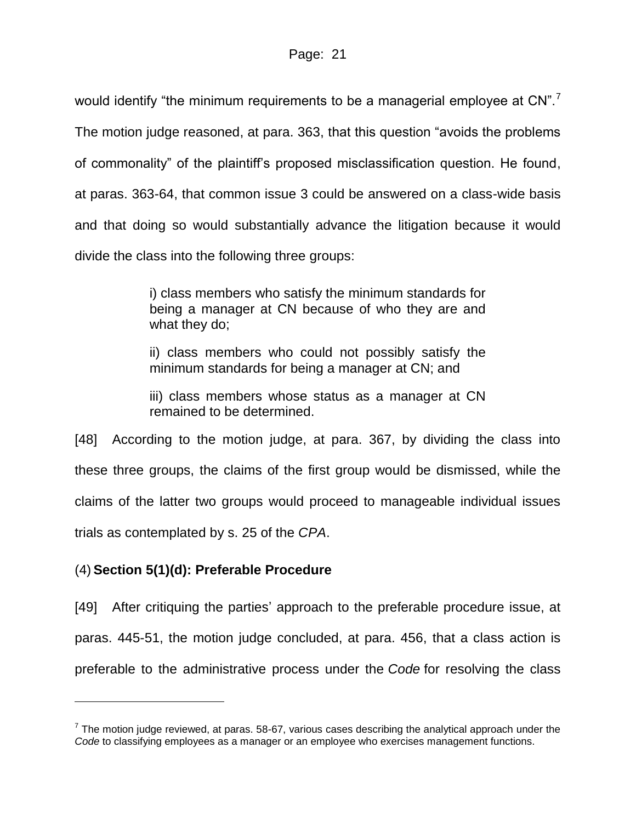would identify "the minimum requirements to be a managerial employee at CN".<sup>7</sup> The motion judge reasoned, at para. 363, that this question "avoids the problems of commonality" of the plaintiff's proposed misclassification question. He found, at paras. 363-64, that common issue 3 could be answered on a class-wide basis and that doing so would substantially advance the litigation because it would divide the class into the following three groups:

> i) class members who satisfy the minimum standards for being a manager at CN because of who they are and what they do;

> ii) class members who could not possibly satisfy the minimum standards for being a manager at CN; and

> iii) class members whose status as a manager at CN remained to be determined.

[48] According to the motion judge, at para. 367, by dividing the class into these three groups, the claims of the first group would be dismissed, while the claims of the latter two groups would proceed to manageable individual issues trials as contemplated by s. 25 of the *CPA*.

## <span id="page-20-0"></span>(4) **Section 5(1)(d): Preferable Procedure**

l

[49] After critiquing the parties' approach to the preferable procedure issue, at paras. 445-51, the motion judge concluded, at para. 456, that a class action is preferable to the administrative process under the *Code* for resolving the class

 $^7$  The motion judge reviewed, at paras. 58-67, various cases describing the analytical approach under the *Code* to classifying employees as a manager or an employee who exercises management functions.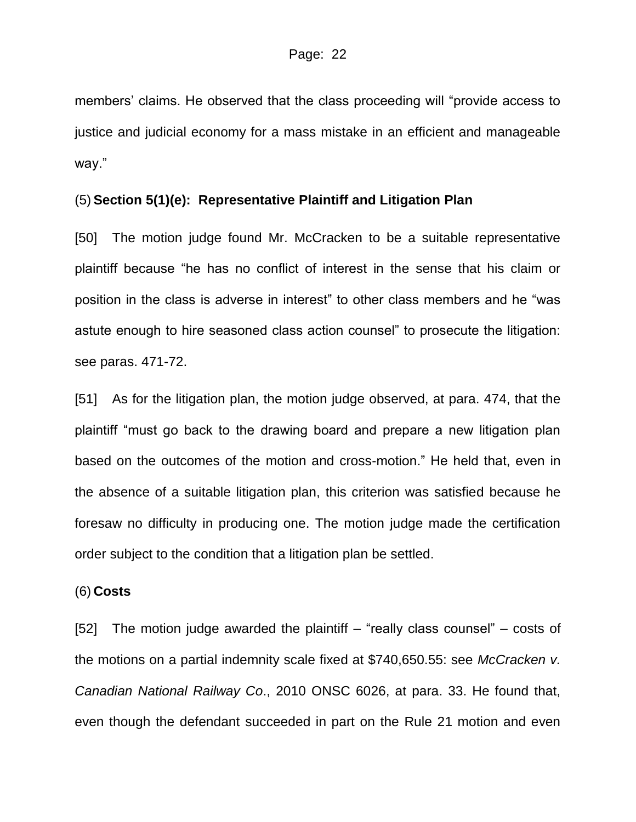members' claims. He observed that the class proceeding will "provide access to justice and judicial economy for a mass mistake in an efficient and manageable way."

#### <span id="page-21-0"></span>(5) **Section 5(1)(e): Representative Plaintiff and Litigation Plan**

[50] The motion judge found Mr. McCracken to be a suitable representative plaintiff because "he has no conflict of interest in the sense that his claim or position in the class is adverse in interest" to other class members and he "was astute enough to hire seasoned class action counsel" to prosecute the litigation: see paras. 471-72.

[51] As for the litigation plan, the motion judge observed, at para. 474, that the plaintiff "must go back to the drawing board and prepare a new litigation plan based on the outcomes of the motion and cross-motion." He held that, even in the absence of a suitable litigation plan, this criterion was satisfied because he foresaw no difficulty in producing one. The motion judge made the certification order subject to the condition that a litigation plan be settled.

#### <span id="page-21-1"></span>(6) **Costs**

[52] The motion judge awarded the plaintiff – "really class counsel" – costs of the motions on a partial indemnity scale fixed at \$740,650.55: see *McCracken v. Canadian National Railway Co*., 2010 ONSC 6026, at para. 33. He found that, even though the defendant succeeded in part on the Rule 21 motion and even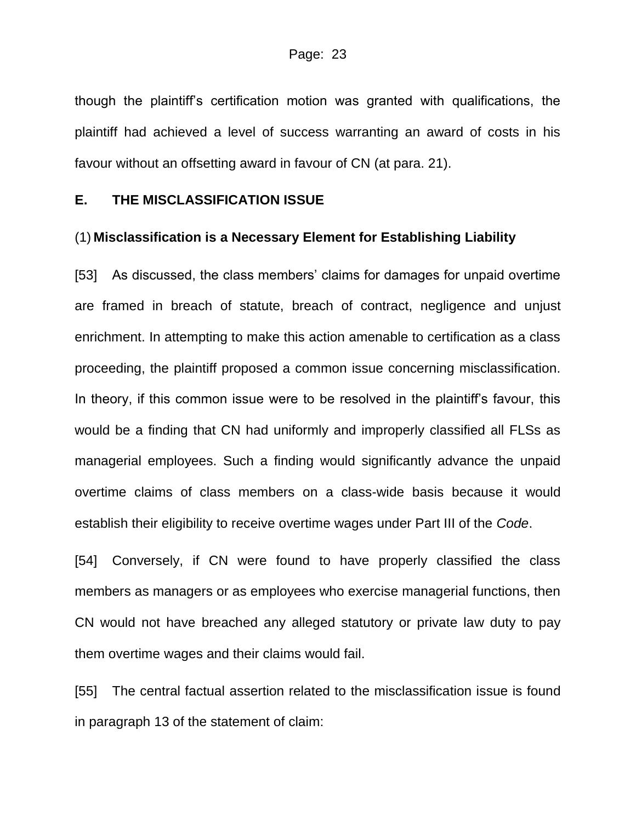though the plaintiff's certification motion was granted with qualifications, the plaintiff had achieved a level of success warranting an award of costs in his favour without an offsetting award in favour of CN (at para. 21).

## <span id="page-22-0"></span>**E. THE MISCLASSIFICATION ISSUE**

#### <span id="page-22-1"></span>(1) **Misclassification is a Necessary Element for Establishing Liability**

[53] As discussed, the class members' claims for damages for unpaid overtime are framed in breach of statute, breach of contract, negligence and unjust enrichment. In attempting to make this action amenable to certification as a class proceeding, the plaintiff proposed a common issue concerning misclassification. In theory, if this common issue were to be resolved in the plaintiff's favour, this would be a finding that CN had uniformly and improperly classified all FLSs as managerial employees. Such a finding would significantly advance the unpaid overtime claims of class members on a class-wide basis because it would establish their eligibility to receive overtime wages under Part III of the *Code*.

[54] Conversely, if CN were found to have properly classified the class members as managers or as employees who exercise managerial functions, then CN would not have breached any alleged statutory or private law duty to pay them overtime wages and their claims would fail.

[55] The central factual assertion related to the misclassification issue is found in paragraph 13 of the statement of claim: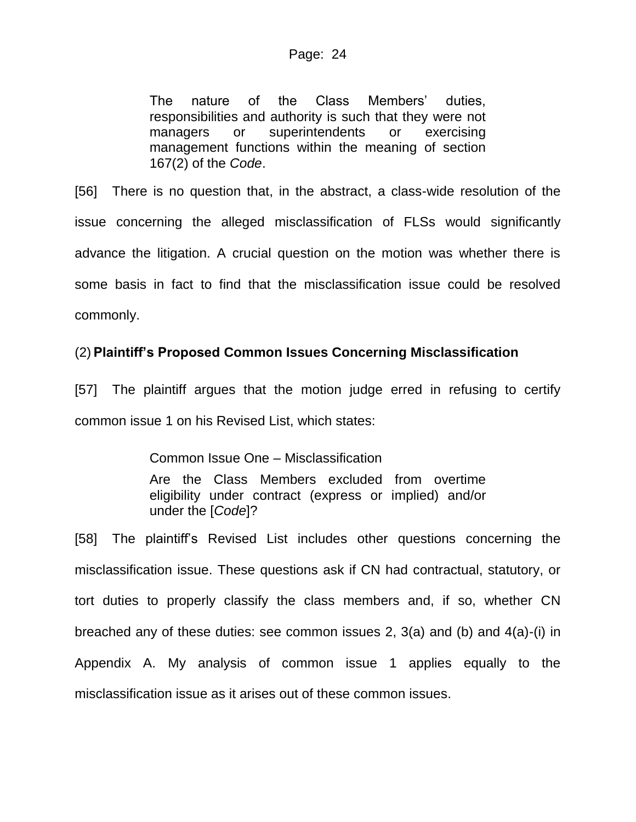The nature of the Class Members' duties, responsibilities and authority is such that they were not managers or superintendents or exercising management functions within the meaning of section 167(2) of the *Code*.

[56] There is no question that, in the abstract, a class-wide resolution of the issue concerning the alleged misclassification of FLSs would significantly advance the litigation. A crucial question on the motion was whether there is some basis in fact to find that the misclassification issue could be resolved commonly.

## <span id="page-23-0"></span>(2) **Plaintiff's Proposed Common Issues Concerning Misclassification**

[57] The plaintiff argues that the motion judge erred in refusing to certify common issue 1 on his Revised List, which states:

Common Issue One – Misclassification

Are the Class Members excluded from overtime eligibility under contract (express or implied) and/or under the [*Code*]?

[58] The plaintiff's Revised List includes other questions concerning the misclassification issue. These questions ask if CN had contractual, statutory, or tort duties to properly classify the class members and, if so, whether CN breached any of these duties: see common issues 2, 3(a) and (b) and 4(a)-(i) in Appendix A. My analysis of common issue 1 applies equally to the misclassification issue as it arises out of these common issues.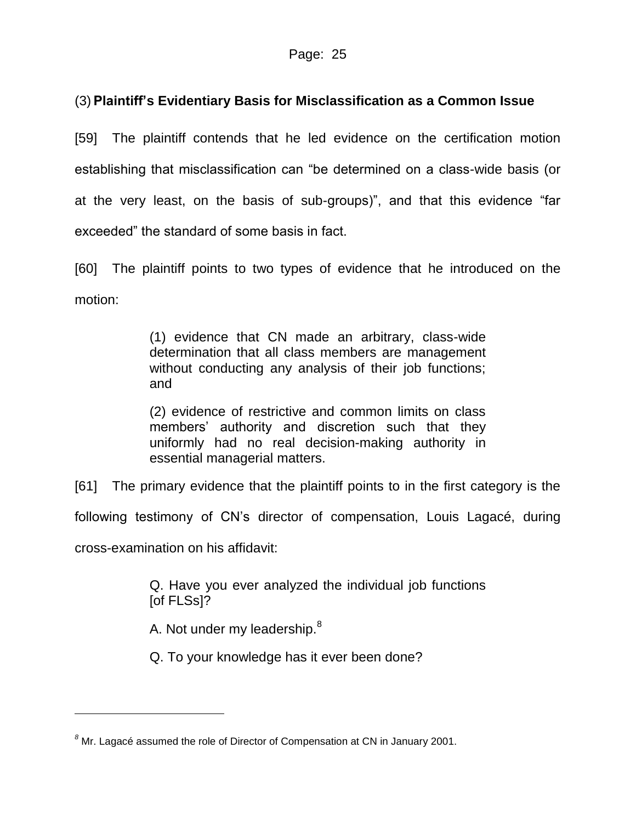## <span id="page-24-0"></span>(3) **Plaintiff's Evidentiary Basis for Misclassification as a Common Issue**

[59] The plaintiff contends that he led evidence on the certification motion establishing that misclassification can "be determined on a class-wide basis (or at the very least, on the basis of sub-groups)", and that this evidence "far exceeded" the standard of some basis in fact.

[60] The plaintiff points to two types of evidence that he introduced on the motion:

> (1) evidence that CN made an arbitrary, class-wide determination that all class members are management without conducting any analysis of their job functions; and

> (2) evidence of restrictive and common limits on class members' authority and discretion such that they uniformly had no real decision-making authority in essential managerial matters.

[61] The primary evidence that the plaintiff points to in the first category is the

following testimony of CN's director of compensation, Louis Lagacé, during

cross-examination on his affidavit:

l

Q. Have you ever analyzed the individual job functions [of FLSs]?

A. Not under my leadership.<sup>8</sup>

Q. To your knowledge has it ever been done?

*<sup>8</sup>* Mr. Lagacé assumed the role of Director of Compensation at CN in January 2001.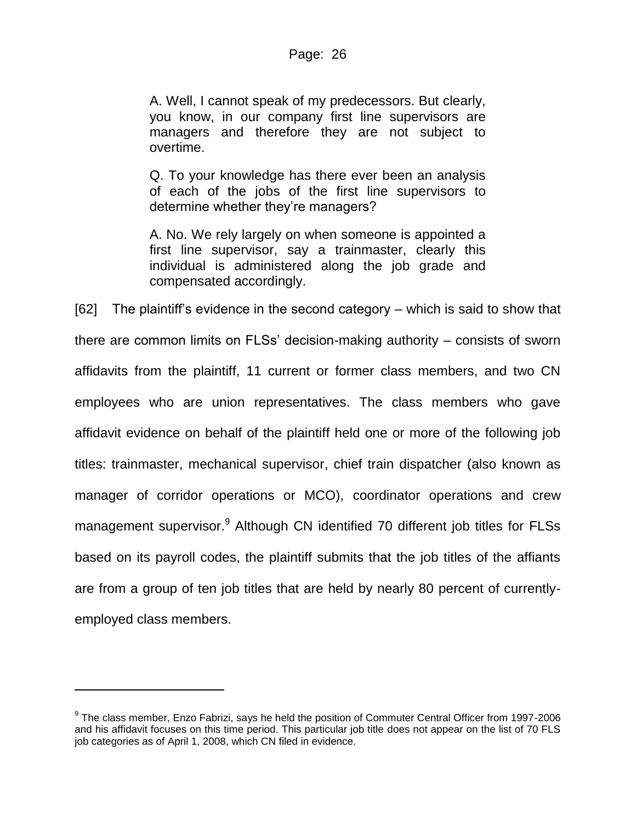A. Well, I cannot speak of my predecessors. But clearly, you know, in our company first line supervisors are managers and therefore they are not subject to overtime.

Q. To your knowledge has there ever been an analysis of each of the jobs of the first line supervisors to determine whether they're managers?

A. No. We rely largely on when someone is appointed a first line supervisor, say a trainmaster, clearly this individual is administered along the job grade and compensated accordingly.

[62] The plaintiff's evidence in the second category – which is said to show that there are common limits on FLSs' decision-making authority – consists of sworn affidavits from the plaintiff, 11 current or former class members, and two CN employees who are union representatives. The class members who gave affidavit evidence on behalf of the plaintiff held one or more of the following job titles: trainmaster, mechanical supervisor, chief train dispatcher (also known as manager of corridor operations or MCO), coordinator operations and crew management supervisor.<sup>9</sup> Although CN identified 70 different job titles for FLSs based on its payroll codes, the plaintiff submits that the job titles of the affiants are from a group of ten job titles that are held by nearly 80 percent of currentlyemployed class members.

<sup>&</sup>lt;sup>9</sup> The class member, Enzo Fabrizi, says he held the position of Commuter Central Officer from 1997-2006 and his affidavit focuses on this time period. This particular job title does not appear on the list of 70 FLS job categories as of April 1, 2008, which CN filed in evidence.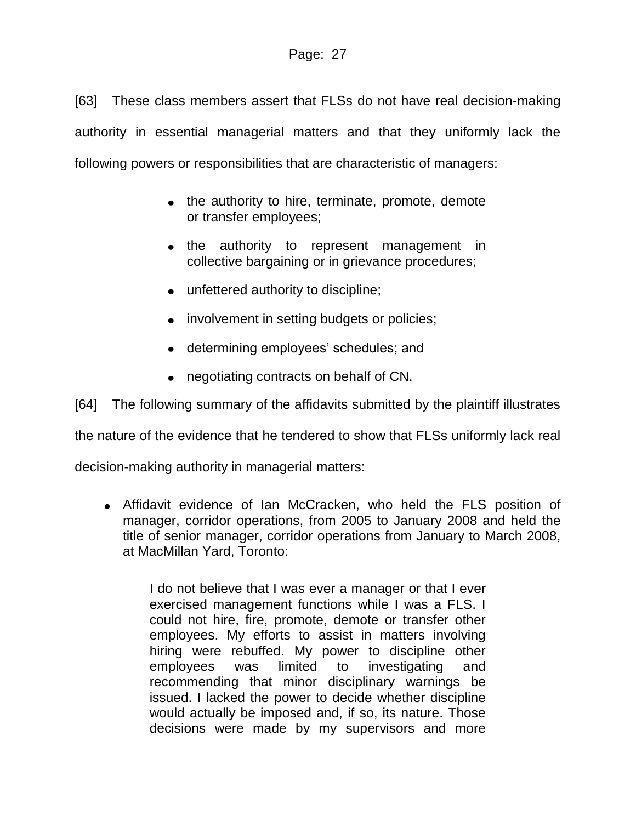[63] These class members assert that FLSs do not have real decision-making authority in essential managerial matters and that they uniformly lack the following powers or responsibilities that are characteristic of managers:

- the authority to hire, terminate, promote, demote or transfer employees;
- the authority to represent management in collective bargaining or in grievance procedures;
- unfettered authority to discipline;
- involvement in setting budgets or policies;
- determining employees' schedules; and
- negotiating contracts on behalf of CN.

[64] The following summary of the affidavits submitted by the plaintiff illustrates

the nature of the evidence that he tendered to show that FLSs uniformly lack real

decision-making authority in managerial matters:

Affidavit evidence of Ian McCracken, who held the FLS position of manager, corridor operations, from 2005 to January 2008 and held the title of senior manager, corridor operations from January to March 2008, at MacMillan Yard, Toronto:

I do not believe that I was ever a manager or that I ever exercised management functions while I was a FLS. I could not hire, fire, promote, demote or transfer other employees. My efforts to assist in matters involving hiring were rebuffed. My power to discipline other employees was limited to investigating and recommending that minor disciplinary warnings be issued. I lacked the power to decide whether discipline would actually be imposed and, if so, its nature. Those decisions were made by my supervisors and more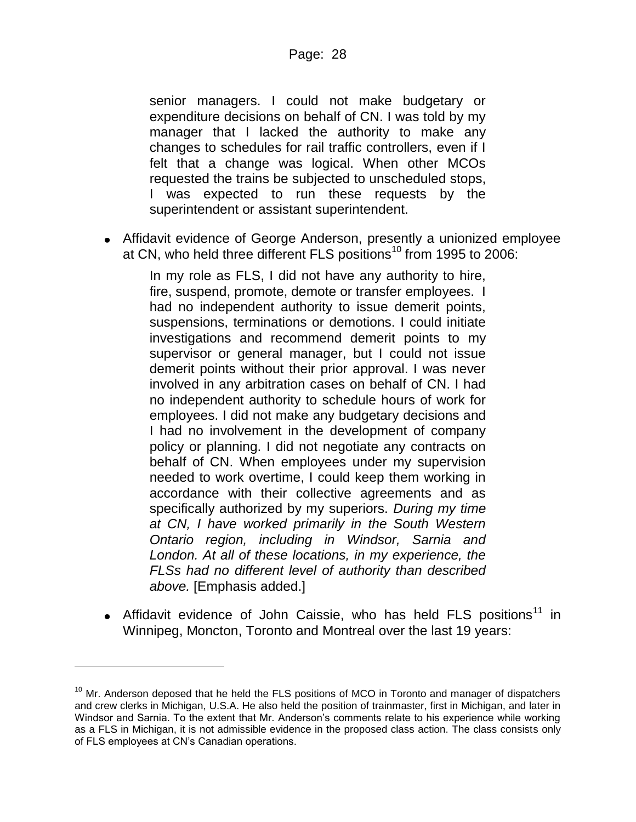senior managers. I could not make budgetary or expenditure decisions on behalf of CN. I was told by my manager that I lacked the authority to make any changes to schedules for rail traffic controllers, even if I felt that a change was logical. When other MCOs requested the trains be subjected to unscheduled stops, I was expected to run these requests by the superintendent or assistant superintendent.

Affidavit evidence of George Anderson, presently a unionized employee at CN, who held three different FLS positions<sup>10</sup> from 1995 to 2006:

In my role as FLS, I did not have any authority to hire, fire, suspend, promote, demote or transfer employees. I had no independent authority to issue demerit points, suspensions, terminations or demotions. I could initiate investigations and recommend demerit points to my supervisor or general manager, but I could not issue demerit points without their prior approval. I was never involved in any arbitration cases on behalf of CN. I had no independent authority to schedule hours of work for employees. I did not make any budgetary decisions and I had no involvement in the development of company policy or planning. I did not negotiate any contracts on behalf of CN. When employees under my supervision needed to work overtime, I could keep them working in accordance with their collective agreements and as specifically authorized by my superiors. *During my time at CN, I have worked primarily in the South Western Ontario region, including in Windsor, Sarnia and London. At all of these locations, in my experience, the FLSs had no different level of authority than described above.* [Emphasis added.]

Affidavit evidence of John Caissie, who has held FLS positions<sup>11</sup> in  $\bullet$ Winnipeg, Moncton, Toronto and Montreal over the last 19 years:

 $\overline{a}$ 

 $10$  Mr. Anderson deposed that he held the FLS positions of MCO in Toronto and manager of dispatchers and crew clerks in Michigan, U.S.A. He also held the position of trainmaster, first in Michigan, and later in Windsor and Sarnia. To the extent that Mr. Anderson's comments relate to his experience while working as a FLS in Michigan, it is not admissible evidence in the proposed class action. The class consists only of FLS employees at CN's Canadian operations.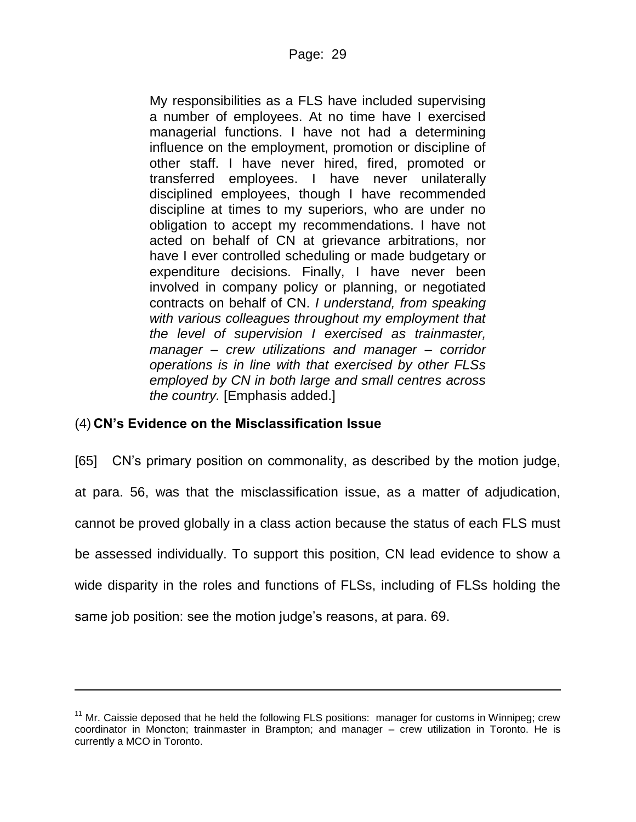My responsibilities as a FLS have included supervising a number of employees. At no time have I exercised managerial functions. I have not had a determining influence on the employment, promotion or discipline of other staff. I have never hired, fired, promoted or transferred employees. I have never unilaterally disciplined employees, though I have recommended discipline at times to my superiors, who are under no obligation to accept my recommendations. I have not acted on behalf of CN at grievance arbitrations, nor have I ever controlled scheduling or made budgetary or expenditure decisions. Finally, I have never been involved in company policy or planning, or negotiated contracts on behalf of CN. *I understand, from speaking with various colleagues throughout my employment that the level of supervision I exercised as trainmaster, manager – crew utilizations and manager – corridor operations is in line with that exercised by other FLSs employed by CN in both large and small centres across the country.* [Emphasis added.]

## <span id="page-28-0"></span>(4) **CN's Evidence on the Misclassification Issue**

[65] CN's primary position on commonality, as described by the motion judge, at para. 56, was that the misclassification issue, as a matter of adjudication, cannot be proved globally in a class action because the status of each FLS must be assessed individually. To support this position, CN lead evidence to show a wide disparity in the roles and functions of FLSs, including of FLSs holding the same job position: see the motion judge's reasons, at para. 69.

 $11$  Mr. Caissie deposed that he held the following FLS positions: manager for customs in Winnipeg; crew coordinator in Moncton; trainmaster in Brampton; and manager – crew utilization in Toronto. He is currently a MCO in Toronto.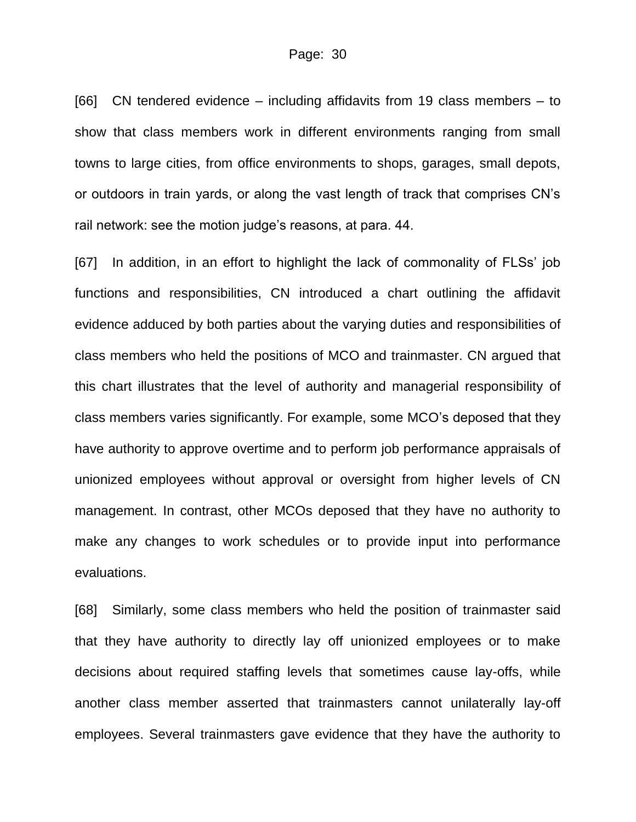[66] CN tendered evidence – including affidavits from 19 class members – to show that class members work in different environments ranging from small towns to large cities, from office environments to shops, garages, small depots, or outdoors in train yards, or along the vast length of track that comprises CN's rail network: see the motion judge's reasons, at para. 44.

[67] In addition, in an effort to highlight the lack of commonality of FLSs' job functions and responsibilities, CN introduced a chart outlining the affidavit evidence adduced by both parties about the varying duties and responsibilities of class members who held the positions of MCO and trainmaster. CN argued that this chart illustrates that the level of authority and managerial responsibility of class members varies significantly. For example, some MCO's deposed that they have authority to approve overtime and to perform job performance appraisals of unionized employees without approval or oversight from higher levels of CN management. In contrast, other MCOs deposed that they have no authority to make any changes to work schedules or to provide input into performance evaluations.

[68] Similarly, some class members who held the position of trainmaster said that they have authority to directly lay off unionized employees or to make decisions about required staffing levels that sometimes cause lay-offs, while another class member asserted that trainmasters cannot unilaterally lay-off employees. Several trainmasters gave evidence that they have the authority to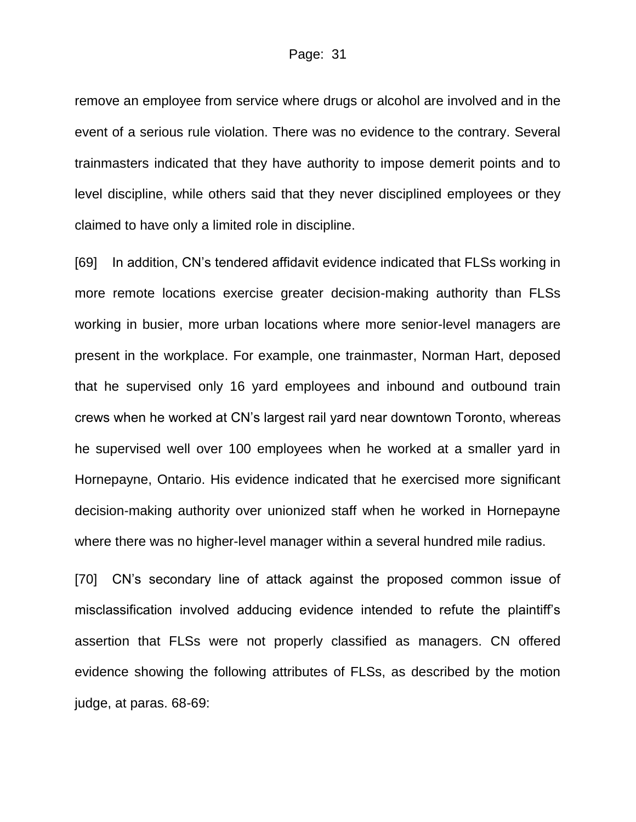remove an employee from service where drugs or alcohol are involved and in the event of a serious rule violation. There was no evidence to the contrary. Several trainmasters indicated that they have authority to impose demerit points and to level discipline, while others said that they never disciplined employees or they claimed to have only a limited role in discipline.

[69] In addition, CN's tendered affidavit evidence indicated that FLSs working in more remote locations exercise greater decision-making authority than FLSs working in busier, more urban locations where more senior-level managers are present in the workplace. For example, one trainmaster, Norman Hart, deposed that he supervised only 16 yard employees and inbound and outbound train crews when he worked at CN's largest rail yard near downtown Toronto, whereas he supervised well over 100 employees when he worked at a smaller yard in Hornepayne, Ontario. His evidence indicated that he exercised more significant decision-making authority over unionized staff when he worked in Hornepayne where there was no higher-level manager within a several hundred mile radius.

[70] CN's secondary line of attack against the proposed common issue of misclassification involved adducing evidence intended to refute the plaintiff's assertion that FLSs were not properly classified as managers. CN offered evidence showing the following attributes of FLSs, as described by the motion judge, at paras. 68-69: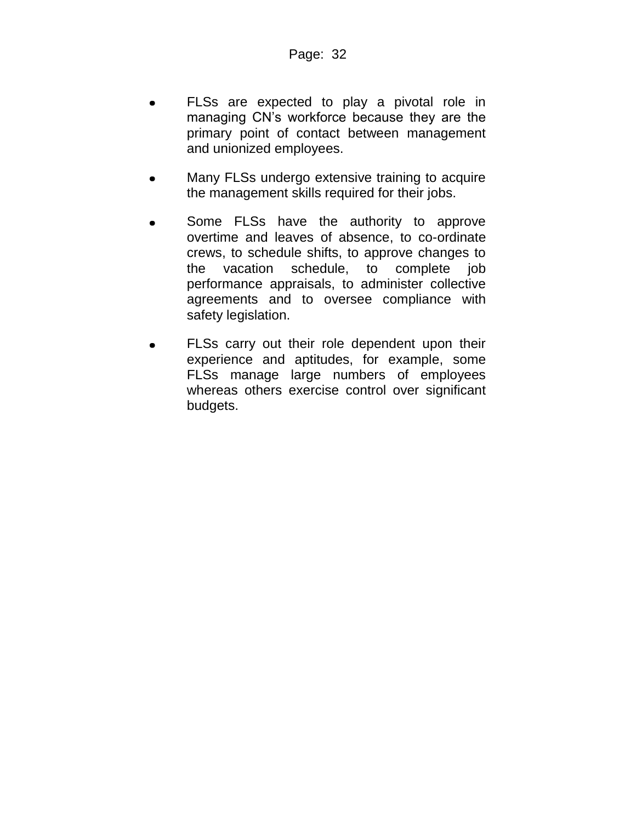- FLSs are expected to play a pivotal role in managing CN's workforce because they are the primary point of contact between management and unionized employees.
- Many FLSs undergo extensive training to acquire the management skills required for their jobs.
- Some FLSs have the authority to approve overtime and leaves of absence, to co-ordinate crews, to schedule shifts, to approve changes to the vacation schedule, to complete job performance appraisals, to administer collective agreements and to oversee compliance with safety legislation.
- FLSs carry out their role dependent upon their experience and aptitudes, for example, some FLSs manage large numbers of employees whereas others exercise control over significant budgets.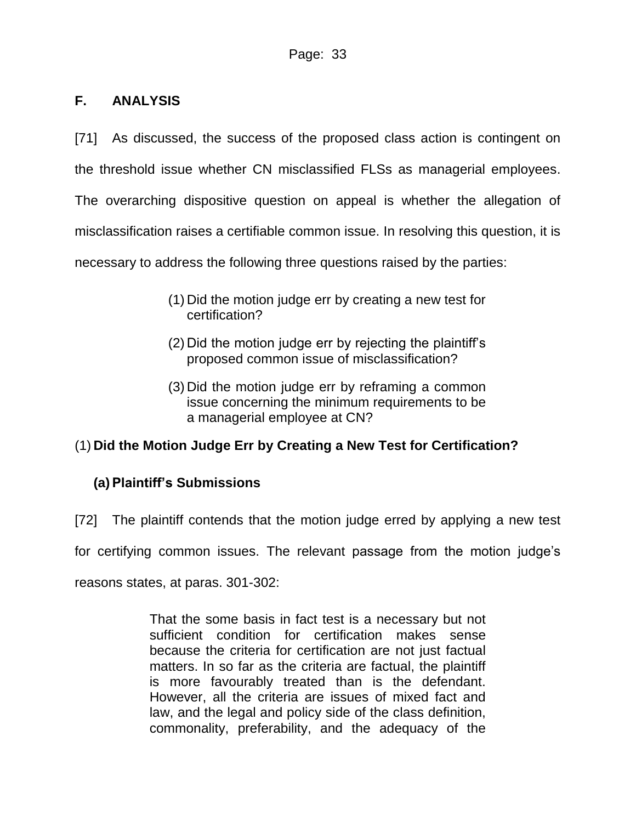## <span id="page-32-0"></span>**F. ANALYSIS**

[71] As discussed, the success of the proposed class action is contingent on the threshold issue whether CN misclassified FLSs as managerial employees. The overarching dispositive question on appeal is whether the allegation of misclassification raises a certifiable common issue. In resolving this question, it is necessary to address the following three questions raised by the parties:

- (1) Did the motion judge err by creating a new test for certification?
- (2) Did the motion judge err by rejecting the plaintiff's proposed common issue of misclassification?
- (3) Did the motion judge err by reframing a common issue concerning the minimum requirements to be a managerial employee at CN?

## <span id="page-32-1"></span>(1) **Did the Motion Judge Err by Creating a New Test for Certification?**

## **(a)Plaintiff's Submissions**

[72] The plaintiff contends that the motion judge erred by applying a new test for certifying common issues. The relevant passage from the motion judge's reasons states, at paras. 301-302:

> That the some basis in fact test is a necessary but not sufficient condition for certification makes sense because the criteria for certification are not just factual matters. In so far as the criteria are factual, the plaintiff is more favourably treated than is the defendant. However, all the criteria are issues of mixed fact and law, and the legal and policy side of the class definition, commonality, preferability, and the adequacy of the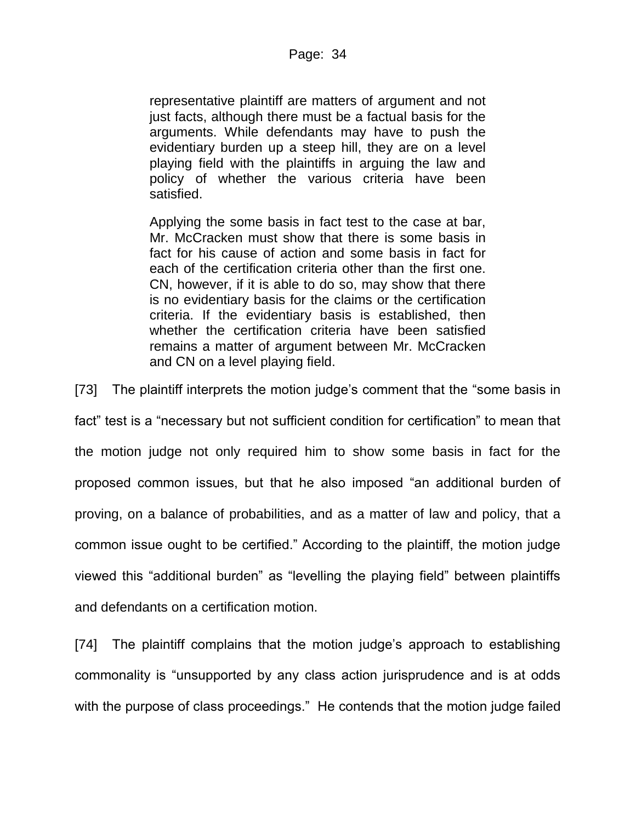representative plaintiff are matters of argument and not just facts, although there must be a factual basis for the arguments. While defendants may have to push the evidentiary burden up a steep hill, they are on a level playing field with the plaintiffs in arguing the law and policy of whether the various criteria have been satisfied.

Applying the some basis in fact test to the case at bar, Mr. McCracken must show that there is some basis in fact for his cause of action and some basis in fact for each of the certification criteria other than the first one. CN, however, if it is able to do so, may show that there is no evidentiary basis for the claims or the certification criteria. If the evidentiary basis is established, then whether the certification criteria have been satisfied remains a matter of argument between Mr. McCracken and CN on a level playing field.

[73] The plaintiff interprets the motion judge's comment that the "some basis in fact" test is a "necessary but not sufficient condition for certification" to mean that the motion judge not only required him to show some basis in fact for the proposed common issues, but that he also imposed "an additional burden of proving, on a balance of probabilities, and as a matter of law and policy, that a common issue ought to be certified." According to the plaintiff, the motion judge viewed this "additional burden" as "levelling the playing field" between plaintiffs and defendants on a certification motion.

[74] The plaintiff complains that the motion judge's approach to establishing commonality is "unsupported by any class action jurisprudence and is at odds with the purpose of class proceedings." He contends that the motion judge failed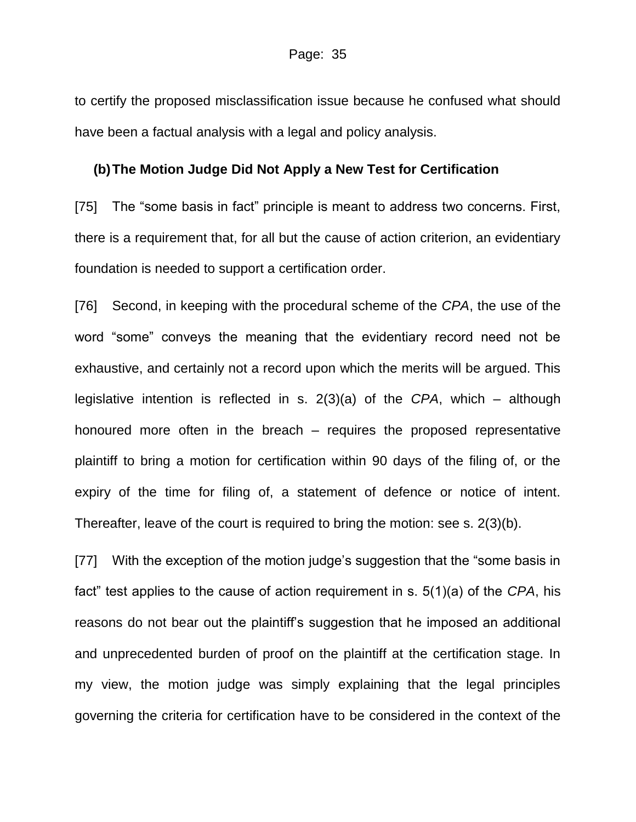to certify the proposed misclassification issue because he confused what should have been a factual analysis with a legal and policy analysis.

#### **(b)The Motion Judge Did Not Apply a New Test for Certification**

[75] The "some basis in fact" principle is meant to address two concerns. First, there is a requirement that, for all but the cause of action criterion, an evidentiary foundation is needed to support a certification order.

[76] Second, in keeping with the procedural scheme of the *CPA*, the use of the word "some" conveys the meaning that the evidentiary record need not be exhaustive, and certainly not a record upon which the merits will be argued. This legislative intention is reflected in s. 2(3)(a) of the *CPA*, which – although honoured more often in the breach – requires the proposed representative plaintiff to bring a motion for certification within 90 days of the filing of, or the expiry of the time for filing of, a statement of defence or notice of intent. Thereafter, leave of the court is required to bring the motion: see s. 2(3)(b).

[77] With the exception of the motion judge's suggestion that the "some basis in fact" test applies to the cause of action requirement in s. 5(1)(a) of the *CPA*, his reasons do not bear out the plaintiff's suggestion that he imposed an additional and unprecedented burden of proof on the plaintiff at the certification stage. In my view, the motion judge was simply explaining that the legal principles governing the criteria for certification have to be considered in the context of the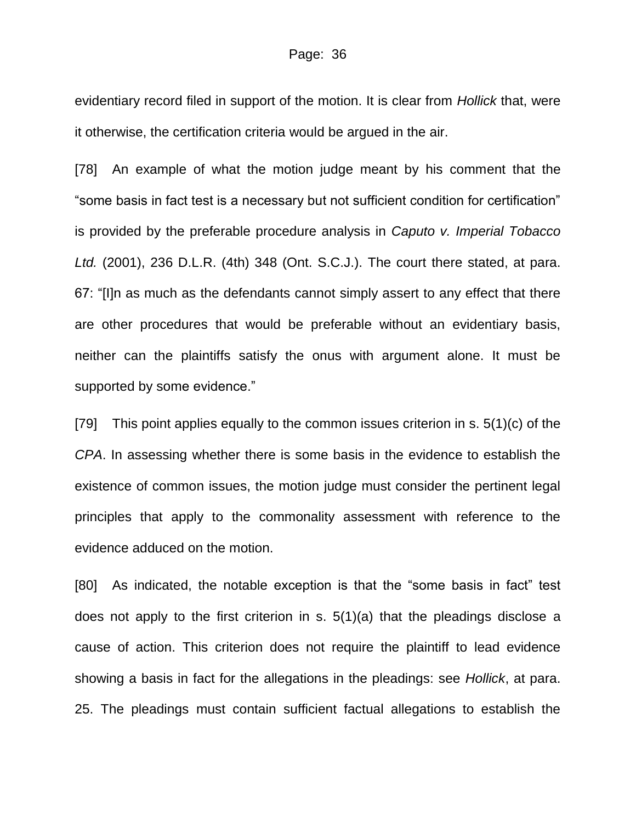evidentiary record filed in support of the motion. It is clear from *Hollick* that, were it otherwise, the certification criteria would be argued in the air.

[78] An example of what the motion judge meant by his comment that the "some basis in fact test is a necessary but not sufficient condition for certification" is provided by the preferable procedure analysis in *Caputo v. Imperial Tobacco Ltd.* (2001), 236 D.L.R. (4th) 348 (Ont. S.C.J.). The court there stated, at para. 67: "[I]n as much as the defendants cannot simply assert to any effect that there are other procedures that would be preferable without an evidentiary basis, neither can the plaintiffs satisfy the onus with argument alone. It must be supported by some evidence."

[79] This point applies equally to the common issues criterion in s. 5(1)(c) of the *CPA*. In assessing whether there is some basis in the evidence to establish the existence of common issues, the motion judge must consider the pertinent legal principles that apply to the commonality assessment with reference to the evidence adduced on the motion.

[80] As indicated, the notable exception is that the "some basis in fact" test does not apply to the first criterion in s. 5(1)(a) that the pleadings disclose a cause of action. This criterion does not require the plaintiff to lead evidence showing a basis in fact for the allegations in the pleadings: see *Hollick*, at para. 25. The pleadings must contain sufficient factual allegations to establish the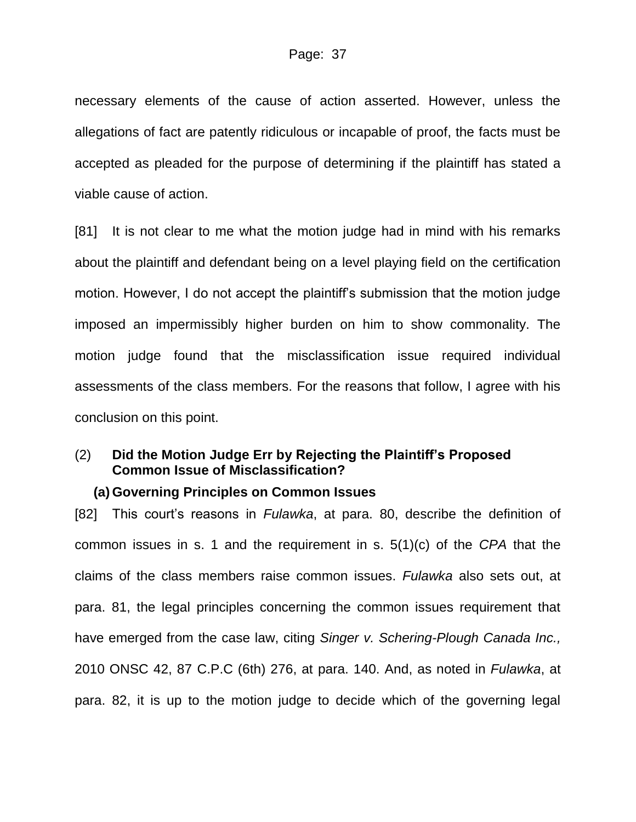necessary elements of the cause of action asserted. However, unless the allegations of fact are patently ridiculous or incapable of proof, the facts must be accepted as pleaded for the purpose of determining if the plaintiff has stated a viable cause of action.

[81] It is not clear to me what the motion judge had in mind with his remarks about the plaintiff and defendant being on a level playing field on the certification motion. However, I do not accept the plaintiff's submission that the motion judge imposed an impermissibly higher burden on him to show commonality. The motion judge found that the misclassification issue required individual assessments of the class members. For the reasons that follow, I agree with his conclusion on this point.

## <span id="page-36-0"></span>(2) **Did the Motion Judge Err by Rejecting the Plaintiff's Proposed Common Issue of Misclassification?**

#### **(a) Governing Principles on Common Issues**

[82] This court's reasons in *Fulawka*, at para. 80, describe the definition of common issues in s. 1 and the requirement in s. 5(1)(c) of the *CPA* that the claims of the class members raise common issues. *Fulawka* also sets out, at para. 81, the legal principles concerning the common issues requirement that have emerged from the case law, citing *Singer v. Schering-Plough Canada Inc.,* 2010 ONSC 42, 87 C.P.C (6th) 276, at para. 140. And, as noted in *Fulawka*, at para. 82, it is up to the motion judge to decide which of the governing legal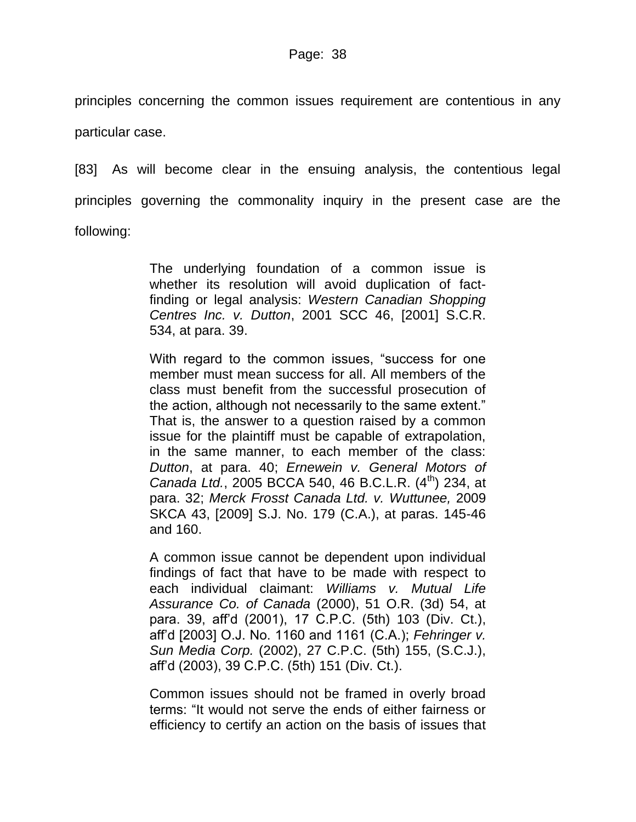principles concerning the common issues requirement are contentious in any particular case.

[83] As will become clear in the ensuing analysis, the contentious legal principles governing the commonality inquiry in the present case are the following:

> The underlying foundation of a common issue is whether its resolution will avoid duplication of factfinding or legal analysis: *Western Canadian Shopping Centres Inc. v. Dutton*, 2001 SCC 46, [2001] S.C.R. 534, at para. 39.

> With regard to the common issues, "success for one member must mean success for all. All members of the class must benefit from the successful prosecution of the action, although not necessarily to the same extent." That is, the answer to a question raised by a common issue for the plaintiff must be capable of extrapolation, in the same manner, to each member of the class: *Dutton*, at para. 40; *Ernewein v. General Motors of Canada Ltd.*, 2005 BCCA 540, 46 B.C.L.R. (4<sup>th</sup>) 234, at para. 32; *Merck Frosst Canada Ltd. v. Wuttunee,* 2009 SKCA 43, [2009] S.J. No. 179 (C.A.), at paras. 145-46 and 160.

> A common issue cannot be dependent upon individual findings of fact that have to be made with respect to each individual claimant: *Williams v. Mutual Life Assurance Co. of Canada* (2000), 51 O.R. (3d) 54, at para. 39, aff'd (2001), 17 C.P.C. (5th) 103 (Div. Ct.), aff'd [2003] O.J. No. 1160 and 1161 (C.A.); *Fehringer v. Sun Media Corp.* (2002), 27 C.P.C. (5th) 155, (S.C.J.), aff'd (2003), 39 C.P.C. (5th) 151 (Div. Ct.).

> Common issues should not be framed in overly broad terms: "It would not serve the ends of either fairness or efficiency to certify an action on the basis of issues that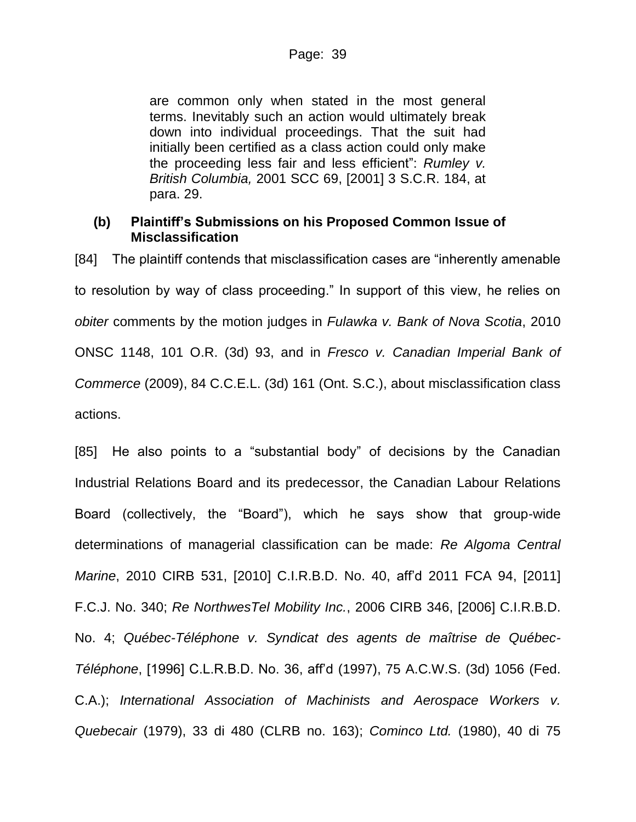are common only when stated in the most general terms. Inevitably such an action would ultimately break down into individual proceedings. That the suit had initially been certified as a class action could only make the proceeding less fair and less efficient": *Rumley v. British Columbia,* 2001 SCC 69, [2001] 3 S.C.R. 184, at para. 29.

## **(b) Plaintiff's Submissions on his Proposed Common Issue of Misclassification**

[84] The plaintiff contends that misclassification cases are "inherently amenable to resolution by way of class proceeding." In support of this view, he relies on *obiter* comments by the motion judges in *Fulawka v. Bank of Nova Scotia*, 2010 ONSC 1148, 101 O.R. (3d) 93, and in *Fresco v. Canadian Imperial Bank of Commerce* (2009), 84 C.C.E.L. (3d) 161 (Ont. S.C.), about misclassification class actions.

[85] He also points to a "substantial body" of decisions by the Canadian Industrial Relations Board and its predecessor, the Canadian Labour Relations Board (collectively, the "Board"), which he says show that group-wide determinations of managerial classification can be made: *Re Algoma Central Marine*, 2010 CIRB 531, [2010] C.I.R.B.D. No. 40, aff'd 2011 FCA 94, [2011] F.C.J. No. 340; *Re NorthwesTel Mobility Inc.*, 2006 CIRB 346, [2006] C.I.R.B.D. No. 4; *Québec-Téléphone v. Syndicat des agents de maîtrise de Québec-Téléphone*, [1996] C.L.R.B.D. No. 36, aff'd (1997), 75 A.C.W.S. (3d) 1056 (Fed. C.A.); International Association of Machinists and Aerospace Workers v. *Quebecair* (1979), 33 di 480 (CLRB no. 163); *Cominco Ltd.* (1980), 40 di 75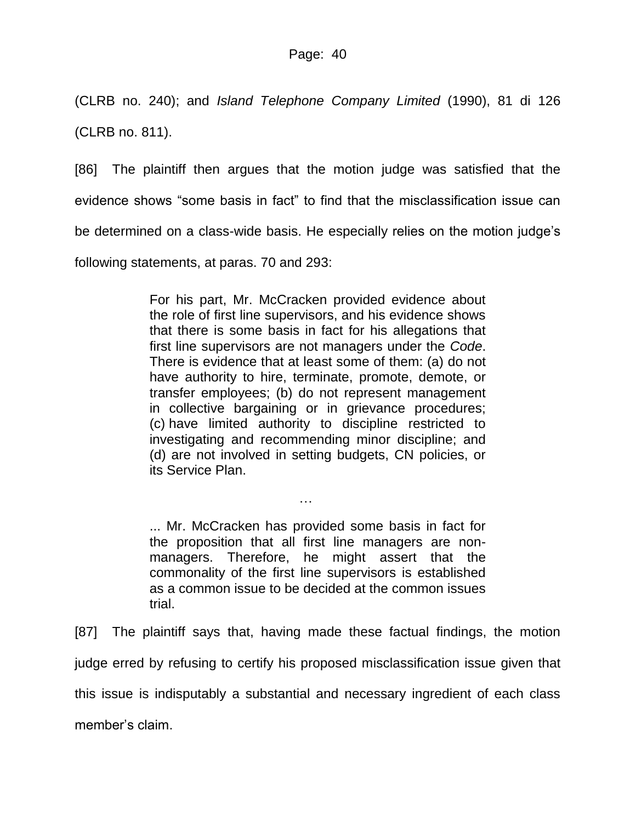(CLRB no. 240); and *Island Telephone Company Limited* (1990), 81 di 126 (CLRB no. 811).

[86] The plaintiff then argues that the motion judge was satisfied that the evidence shows "some basis in fact" to find that the misclassification issue can be determined on a class-wide basis. He especially relies on the motion judge's following statements, at paras. 70 and 293:

> For his part, Mr. McCracken provided evidence about the role of first line supervisors, and his evidence shows that there is some basis in fact for his allegations that first line supervisors are not managers under the *Code*. There is evidence that at least some of them: (a) do not have authority to hire, terminate, promote, demote, or transfer employees; (b) do not represent management in collective bargaining or in grievance procedures; (c) have limited authority to discipline restricted to investigating and recommending minor discipline; and (d) are not involved in setting budgets, CN policies, or its Service Plan.

> ... Mr. McCracken has provided some basis in fact for the proposition that all first line managers are nonmanagers. Therefore, he might assert that the commonality of the first line supervisors is established as a common issue to be decided at the common issues trial.

…

[87] The plaintiff says that, having made these factual findings, the motion judge erred by refusing to certify his proposed misclassification issue given that this issue is indisputably a substantial and necessary ingredient of each class member's claim.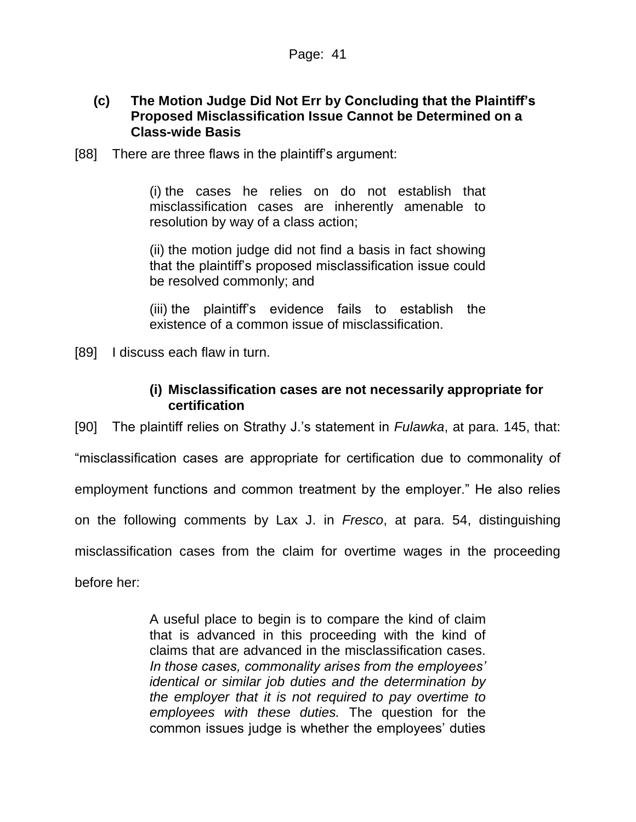## **(c) The Motion Judge Did Not Err by Concluding that the Plaintiff's Proposed Misclassification Issue Cannot be Determined on a Class-wide Basis**

[88] There are three flaws in the plaintiff's argument:

(i) the cases he relies on do not establish that misclassification cases are inherently amenable to resolution by way of a class action;

(ii) the motion judge did not find a basis in fact showing that the plaintiff's proposed misclassification issue could be resolved commonly; and

(iii) the plaintiff's evidence fails to establish the existence of a common issue of misclassification.

[89] I discuss each flaw in turn.

## **(i) Misclassification cases are not necessarily appropriate for certification**

[90] The plaintiff relies on Strathy J.'s statement in *Fulawka*, at para. 145, that: "misclassification cases are appropriate for certification due to commonality of employment functions and common treatment by the employer." He also relies on the following comments by Lax J. in *Fresco*, at para. 54, distinguishing misclassification cases from the claim for overtime wages in the proceeding before her:

> A useful place to begin is to compare the kind of claim that is advanced in this proceeding with the kind of claims that are advanced in the misclassification cases. *In those cases, commonality arises from the employees' identical or similar job duties and the determination by the employer that it is not required to pay overtime to employees with these duties.* The question for the common issues judge is whether the employees' duties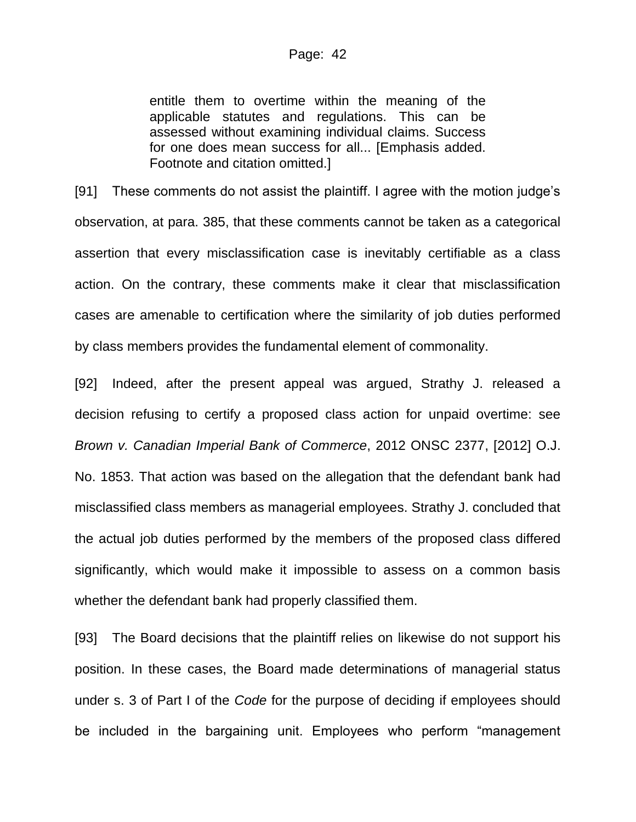entitle them to overtime within the meaning of the applicable statutes and regulations. This can be assessed without examining individual claims. Success for one does mean success for all... [Emphasis added. Footnote and citation omitted.]

[91] These comments do not assist the plaintiff. I agree with the motion judge's observation, at para. 385, that these comments cannot be taken as a categorical assertion that every misclassification case is inevitably certifiable as a class action. On the contrary, these comments make it clear that misclassification cases are amenable to certification where the similarity of job duties performed by class members provides the fundamental element of commonality.

[92] Indeed, after the present appeal was argued, Strathy J. released a decision refusing to certify a proposed class action for unpaid overtime: see *Brown v. Canadian Imperial Bank of Commerce*, 2012 ONSC 2377, [2012] O.J. No. 1853. That action was based on the allegation that the defendant bank had misclassified class members as managerial employees. Strathy J. concluded that the actual job duties performed by the members of the proposed class differed significantly, which would make it impossible to assess on a common basis whether the defendant bank had properly classified them.

[93] The Board decisions that the plaintiff relies on likewise do not support his position. In these cases, the Board made determinations of managerial status under s. 3 of Part I of the *Code* for the purpose of deciding if employees should be included in the bargaining unit. Employees who perform "management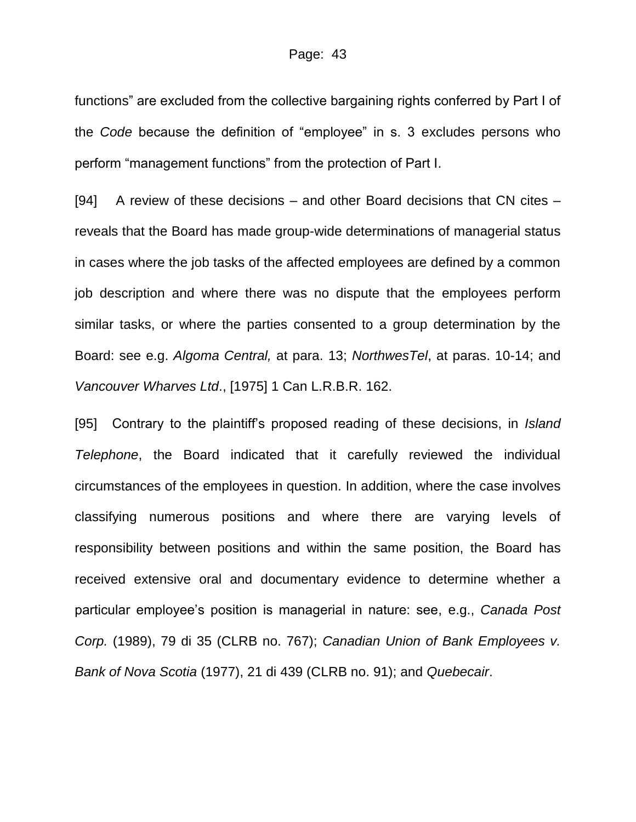functions" are excluded from the collective bargaining rights conferred by Part I of the *Code* because the definition of "employee" in s. 3 excludes persons who perform "management functions" from the protection of Part I.

[94] A review of these decisions – and other Board decisions that CN cites – reveals that the Board has made group-wide determinations of managerial status in cases where the job tasks of the affected employees are defined by a common job description and where there was no dispute that the employees perform similar tasks, or where the parties consented to a group determination by the Board: see e.g. *Algoma Central,* at para. 13; *NorthwesTel*, at paras. 10-14; and *Vancouver Wharves Ltd*., [1975] 1 Can L.R.B.R. 162.

[95] Contrary to the plaintiff's proposed reading of these decisions, in *Island Telephone*, the Board indicated that it carefully reviewed the individual circumstances of the employees in question. In addition, where the case involves classifying numerous positions and where there are varying levels of responsibility between positions and within the same position, the Board has received extensive oral and documentary evidence to determine whether a particular employee's position is managerial in nature: see, e.g., *Canada Post Corp.* (1989), 79 di 35 (CLRB no. 767); *Canadian Union of Bank Employees v. Bank of Nova Scotia* (1977), 21 di 439 (CLRB no. 91); and *Quebecair*.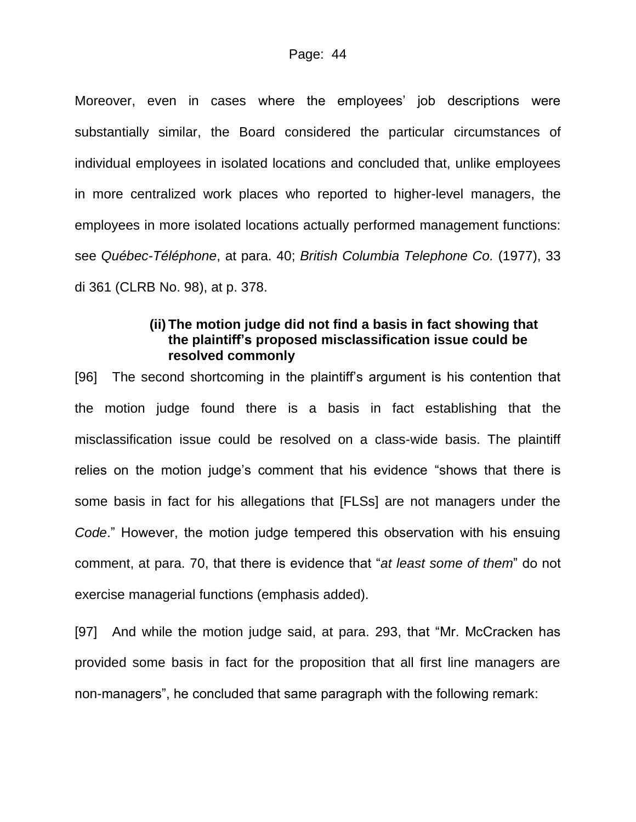Moreover, even in cases where the employees' job descriptions were substantially similar, the Board considered the particular circumstances of individual employees in isolated locations and concluded that, unlike employees in more centralized work places who reported to higher-level managers, the employees in more isolated locations actually performed management functions: see *Québec-Téléphone*, at para. 40; *British Columbia Telephone Co.* (1977), 33 di 361 (CLRB No. 98), at p. 378.

### **(ii) The motion judge did not find a basis in fact showing that the plaintiff's proposed misclassification issue could be resolved commonly**

[96] The second shortcoming in the plaintiff's argument is his contention that the motion judge found there is a basis in fact establishing that the misclassification issue could be resolved on a class-wide basis. The plaintiff relies on the motion judge's comment that his evidence "shows that there is some basis in fact for his allegations that [FLSs] are not managers under the *Code*." However, the motion judge tempered this observation with his ensuing comment, at para. 70, that there is evidence that "*at least some of them*" do not exercise managerial functions (emphasis added).

[97] And while the motion judge said, at para. 293, that "Mr. McCracken has provided some basis in fact for the proposition that all first line managers are non-managers", he concluded that same paragraph with the following remark: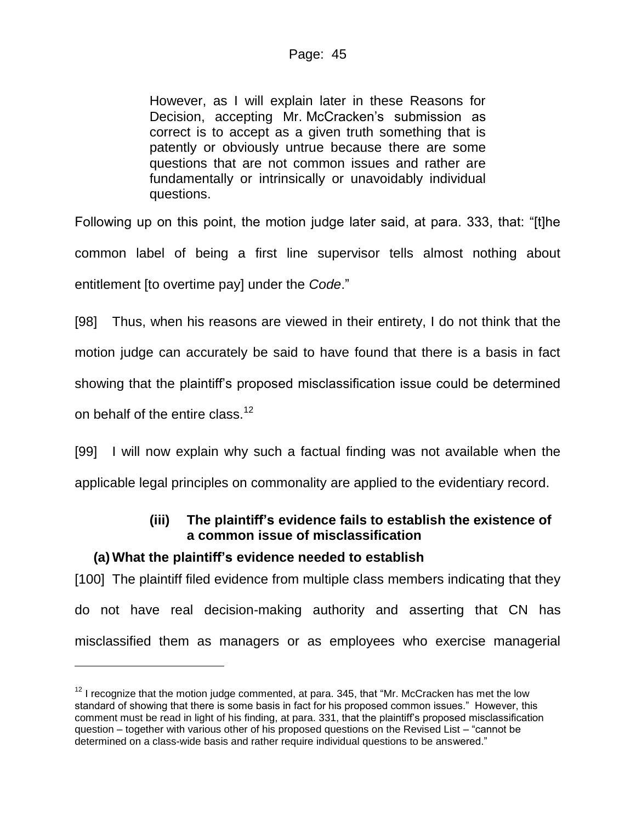However, as I will explain later in these Reasons for Decision, accepting Mr. McCracken's submission as correct is to accept as a given truth something that is patently or obviously untrue because there are some questions that are not common issues and rather are fundamentally or intrinsically or unavoidably individual questions.

Following up on this point, the motion judge later said, at para. 333, that: "[t]he common label of being a first line supervisor tells almost nothing about entitlement [to overtime pay] under the *Code*."

[98] Thus, when his reasons are viewed in their entirety, I do not think that the motion judge can accurately be said to have found that there is a basis in fact showing that the plaintiff's proposed misclassification issue could be determined on behalf of the entire class.<sup>12</sup>

[99] I will now explain why such a factual finding was not available when the applicable legal principles on commonality are applied to the evidentiary record.

## **(iii) The plaintiff's evidence fails to establish the existence of a common issue of misclassification**

## **(a) What the plaintiff's evidence needed to establish**

 $\overline{a}$ 

[100] The plaintiff filed evidence from multiple class members indicating that they do not have real decision-making authority and asserting that CN has misclassified them as managers or as employees who exercise managerial

 $12$  I recognize that the motion judge commented, at para. 345, that "Mr. McCracken has met the low standard of showing that there is some basis in fact for his proposed common issues." However, this comment must be read in light of his finding, at para. 331, that the plaintiff's proposed misclassification question – together with various other of his proposed questions on the Revised List – "cannot be determined on a class-wide basis and rather require individual questions to be answered."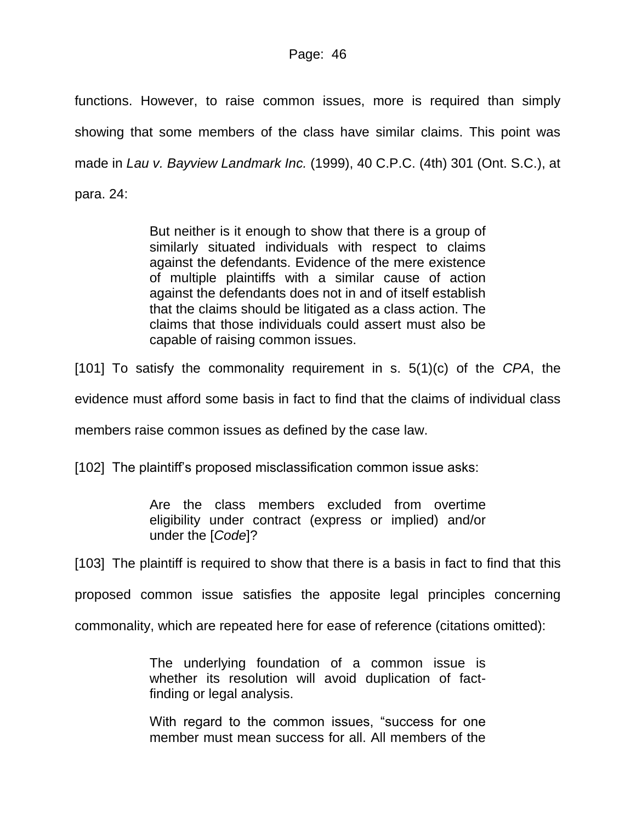functions. However, to raise common issues, more is required than simply showing that some members of the class have similar claims. This point was made in *Lau v. Bayview Landmark Inc.* (1999), 40 C.P.C. (4th) 301 (Ont. S.C.), at para. 24:

> But neither is it enough to show that there is a group of similarly situated individuals with respect to claims against the defendants. Evidence of the mere existence of multiple plaintiffs with a similar cause of action against the defendants does not in and of itself establish that the claims should be litigated as a class action. The claims that those individuals could assert must also be capable of raising common issues.

[101] To satisfy the commonality requirement in s. 5(1)(c) of the *CPA*, the

evidence must afford some basis in fact to find that the claims of individual class

members raise common issues as defined by the case law.

[102] The plaintiff's proposed misclassification common issue asks:

Are the class members excluded from overtime eligibility under contract (express or implied) and/or under the [*Code*]?

[103] The plaintiff is required to show that there is a basis in fact to find that this

proposed common issue satisfies the apposite legal principles concerning

commonality, which are repeated here for ease of reference (citations omitted):

The underlying foundation of a common issue is whether its resolution will avoid duplication of factfinding or legal analysis.

With regard to the common issues, "success for one member must mean success for all. All members of the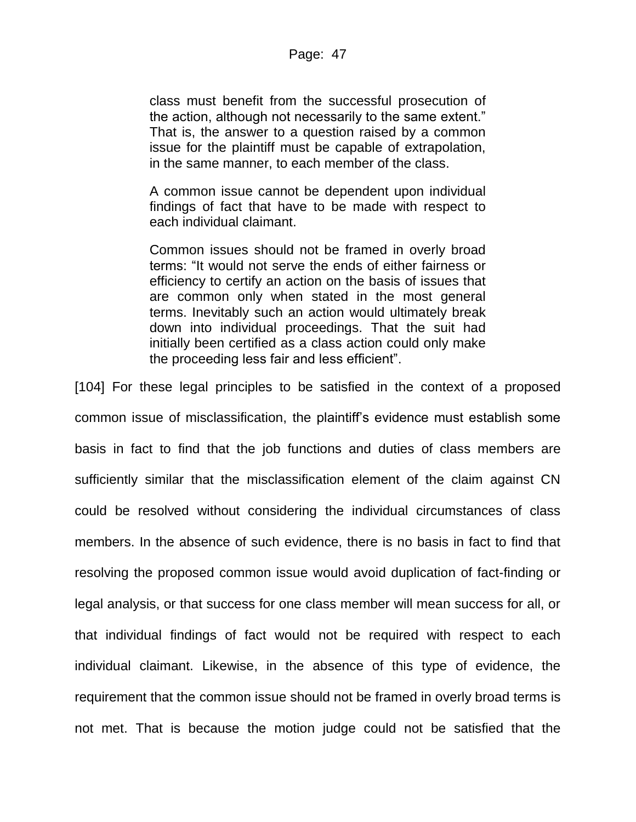class must benefit from the successful prosecution of the action, although not necessarily to the same extent." That is, the answer to a question raised by a common issue for the plaintiff must be capable of extrapolation, in the same manner, to each member of the class.

A common issue cannot be dependent upon individual findings of fact that have to be made with respect to each individual claimant.

Common issues should not be framed in overly broad terms: "It would not serve the ends of either fairness or efficiency to certify an action on the basis of issues that are common only when stated in the most general terms. Inevitably such an action would ultimately break down into individual proceedings. That the suit had initially been certified as a class action could only make the proceeding less fair and less efficient".

[104] For these legal principles to be satisfied in the context of a proposed common issue of misclassification, the plaintiff's evidence must establish some basis in fact to find that the job functions and duties of class members are sufficiently similar that the misclassification element of the claim against CN could be resolved without considering the individual circumstances of class members. In the absence of such evidence, there is no basis in fact to find that resolving the proposed common issue would avoid duplication of fact-finding or legal analysis, or that success for one class member will mean success for all, or that individual findings of fact would not be required with respect to each individual claimant. Likewise, in the absence of this type of evidence, the requirement that the common issue should not be framed in overly broad terms is not met. That is because the motion judge could not be satisfied that the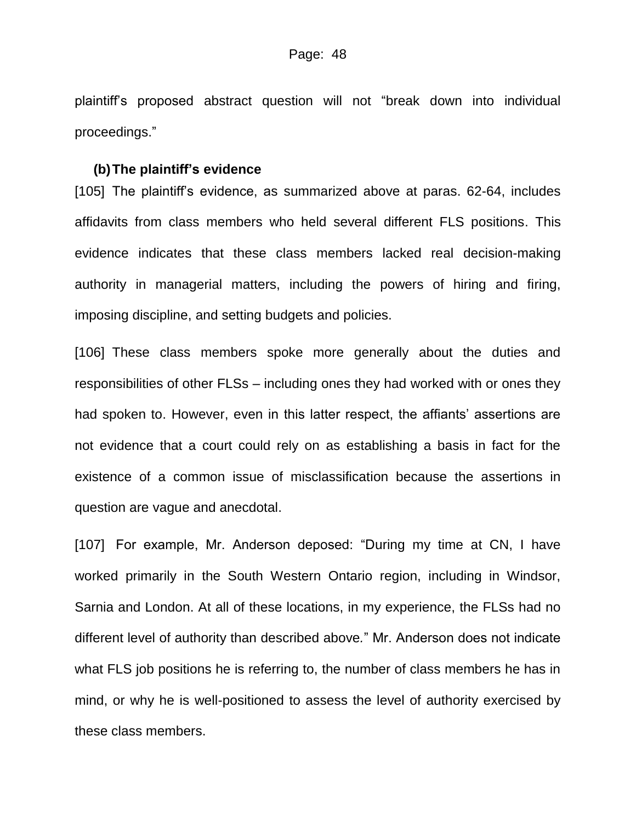plaintiff's proposed abstract question will not "break down into individual proceedings."

#### **(b)The plaintiff's evidence**

[105] The plaintiff's evidence, as summarized above at paras. 62-64, includes affidavits from class members who held several different FLS positions. This evidence indicates that these class members lacked real decision-making authority in managerial matters, including the powers of hiring and firing, imposing discipline, and setting budgets and policies.

[106] These class members spoke more generally about the duties and responsibilities of other FLSs – including ones they had worked with or ones they had spoken to. However, even in this latter respect, the affiants' assertions are not evidence that a court could rely on as establishing a basis in fact for the existence of a common issue of misclassification because the assertions in question are vague and anecdotal.

[107] For example, Mr. Anderson deposed: "During my time at CN, I have worked primarily in the South Western Ontario region, including in Windsor, Sarnia and London. At all of these locations, in my experience, the FLSs had no different level of authority than described above*.*" Mr. Anderson does not indicate what FLS job positions he is referring to, the number of class members he has in mind, or why he is well-positioned to assess the level of authority exercised by these class members.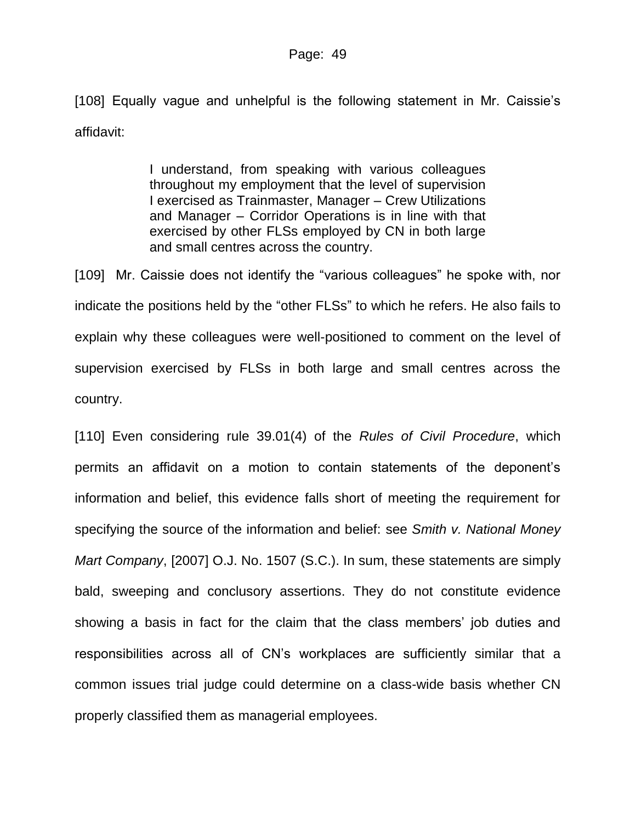[108] Equally vague and unhelpful is the following statement in Mr. Caissie's affidavit:

> I understand, from speaking with various colleagues throughout my employment that the level of supervision I exercised as Trainmaster, Manager – Crew Utilizations and Manager – Corridor Operations is in line with that exercised by other FLSs employed by CN in both large and small centres across the country.

[109] Mr. Caissie does not identify the "various colleagues" he spoke with, nor indicate the positions held by the "other FLSs" to which he refers. He also fails to explain why these colleagues were well-positioned to comment on the level of supervision exercised by FLSs in both large and small centres across the country.

[110] Even considering rule 39.01(4) of the *Rules of Civil Procedure*, which permits an affidavit on a motion to contain statements of the deponent's information and belief, this evidence falls short of meeting the requirement for specifying the source of the information and belief: see *Smith v. National Money Mart Company*, [2007] O.J. No. 1507 (S.C.). In sum, these statements are simply bald, sweeping and conclusory assertions. They do not constitute evidence showing a basis in fact for the claim that the class members' job duties and responsibilities across all of CN's workplaces are sufficiently similar that a common issues trial judge could determine on a class-wide basis whether CN properly classified them as managerial employees.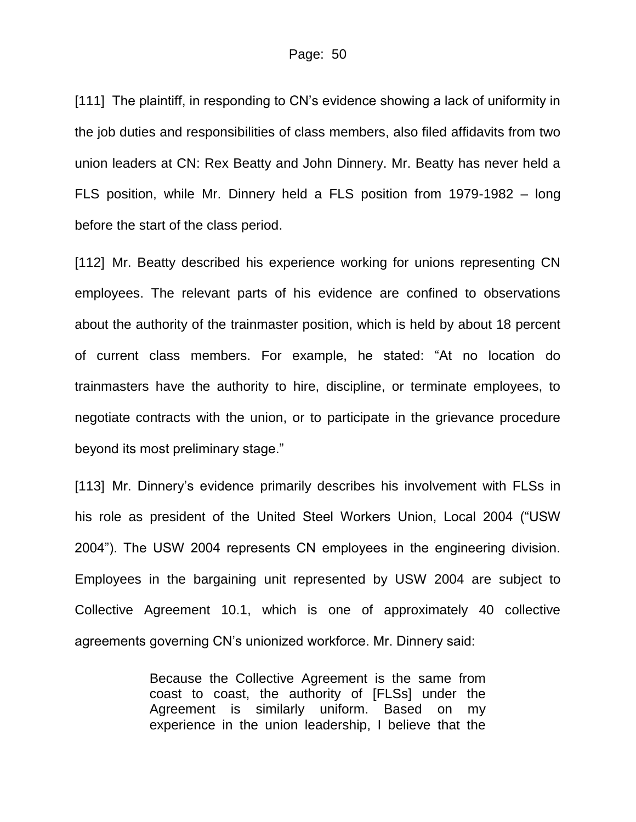[111] The plaintiff, in responding to CN's evidence showing a lack of uniformity in the job duties and responsibilities of class members, also filed affidavits from two union leaders at CN: Rex Beatty and John Dinnery. Mr. Beatty has never held a FLS position, while Mr. Dinnery held a FLS position from 1979-1982 – long before the start of the class period.

[112] Mr. Beatty described his experience working for unions representing CN employees. The relevant parts of his evidence are confined to observations about the authority of the trainmaster position, which is held by about 18 percent of current class members. For example, he stated: "At no location do trainmasters have the authority to hire, discipline, or terminate employees, to negotiate contracts with the union, or to participate in the grievance procedure beyond its most preliminary stage."

[113] Mr. Dinnery's evidence primarily describes his involvement with FLSs in his role as president of the United Steel Workers Union, Local 2004 ("USW 2004"). The USW 2004 represents CN employees in the engineering division. Employees in the bargaining unit represented by USW 2004 are subject to Collective Agreement 10.1, which is one of approximately 40 collective agreements governing CN's unionized workforce. Mr. Dinnery said:

> Because the Collective Agreement is the same from coast to coast, the authority of [FLSs] under the Agreement is similarly uniform. Based on my experience in the union leadership, I believe that the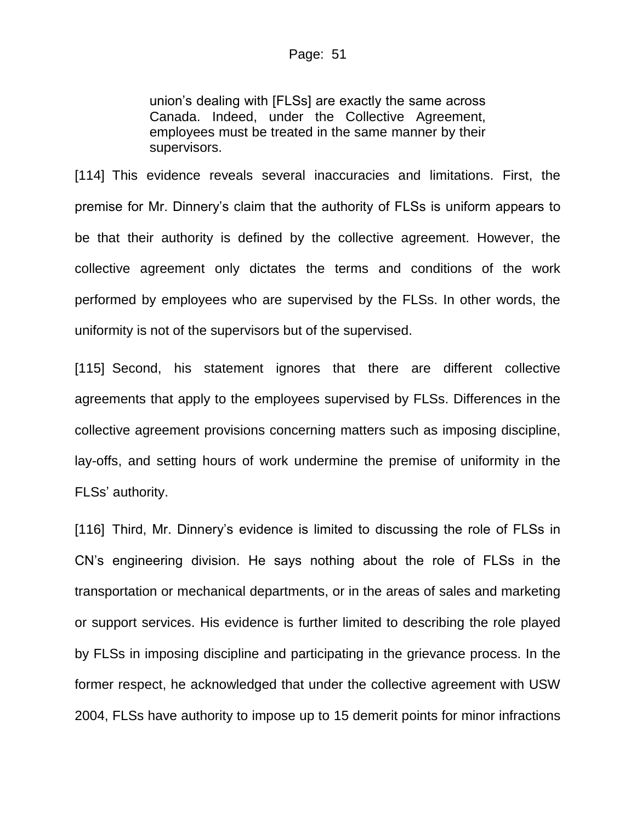union's dealing with [FLSs] are exactly the same across Canada. Indeed, under the Collective Agreement, employees must be treated in the same manner by their supervisors.

[114] This evidence reveals several inaccuracies and limitations. First, the premise for Mr. Dinnery's claim that the authority of FLSs is uniform appears to be that their authority is defined by the collective agreement. However, the collective agreement only dictates the terms and conditions of the work performed by employees who are supervised by the FLSs. In other words, the uniformity is not of the supervisors but of the supervised.

[115] Second, his statement ignores that there are different collective agreements that apply to the employees supervised by FLSs. Differences in the collective agreement provisions concerning matters such as imposing discipline, lay-offs, and setting hours of work undermine the premise of uniformity in the FLSs' authority.

[116] Third, Mr. Dinnery's evidence is limited to discussing the role of FLSs in CN's engineering division. He says nothing about the role of FLSs in the transportation or mechanical departments, or in the areas of sales and marketing or support services. His evidence is further limited to describing the role played by FLSs in imposing discipline and participating in the grievance process. In the former respect, he acknowledged that under the collective agreement with USW 2004, FLSs have authority to impose up to 15 demerit points for minor infractions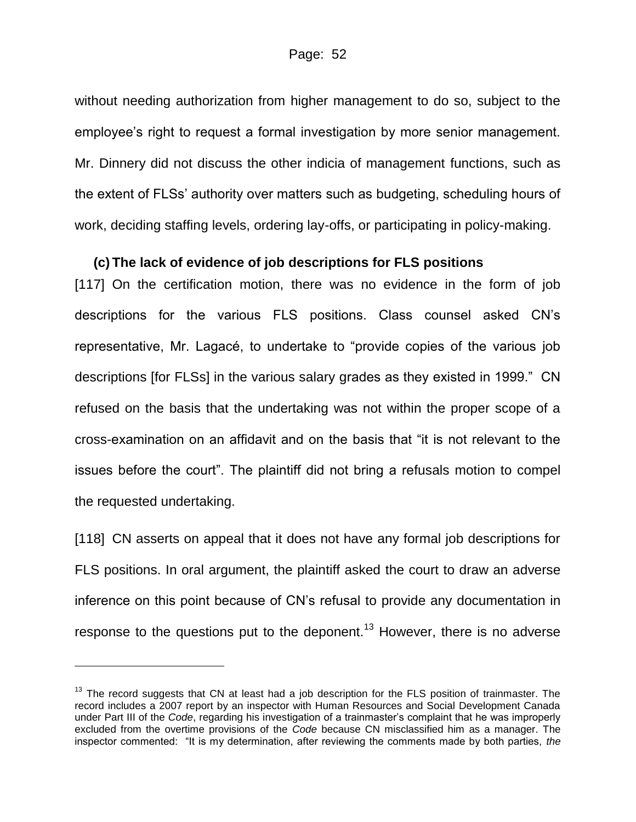without needing authorization from higher management to do so, subject to the employee's right to request a formal investigation by more senior management. Mr. Dinnery did not discuss the other indicia of management functions, such as the extent of FLSs' authority over matters such as budgeting, scheduling hours of work, deciding staffing levels, ordering lay-offs, or participating in policy-making.

### **(c) The lack of evidence of job descriptions for FLS positions**

[117] On the certification motion, there was no evidence in the form of job descriptions for the various FLS positions. Class counsel asked CN's representative, Mr. Lagacé, to undertake to "provide copies of the various job descriptions [for FLSs] in the various salary grades as they existed in 1999." CN refused on the basis that the undertaking was not within the proper scope of a cross-examination on an affidavit and on the basis that "it is not relevant to the issues before the court". The plaintiff did not bring a refusals motion to compel the requested undertaking.

[118] CN asserts on appeal that it does not have any formal job descriptions for FLS positions. In oral argument, the plaintiff asked the court to draw an adverse inference on this point because of CN's refusal to provide any documentation in response to the questions put to the deponent.<sup>13</sup> However, there is no adverse

 $\overline{a}$ 

 $13$  The record suggests that CN at least had a job description for the FLS position of trainmaster. The record includes a 2007 report by an inspector with Human Resources and Social Development Canada under Part III of the *Code*, regarding his investigation of a trainmaster's complaint that he was improperly excluded from the overtime provisions of the *Code* because CN misclassified him as a manager. The inspector commented: "It is my determination, after reviewing the comments made by both parties, *the*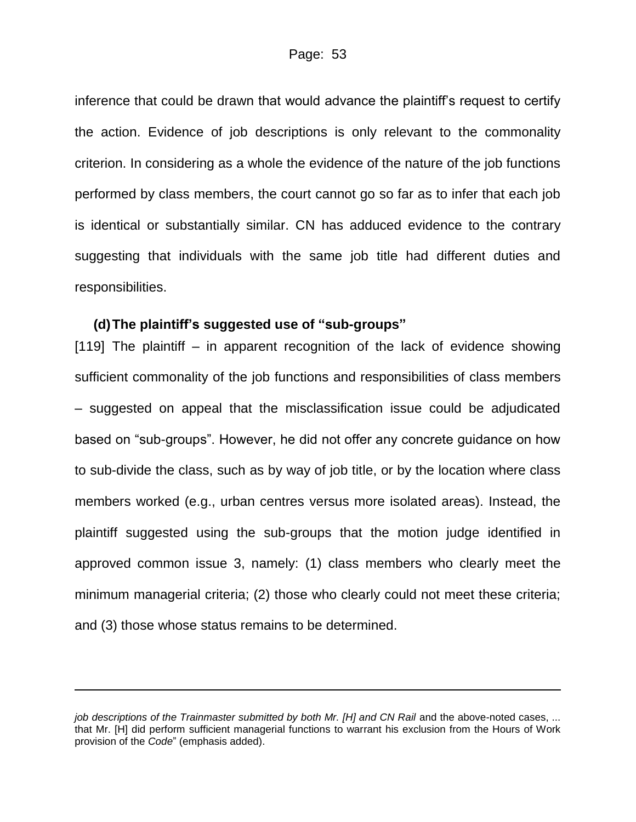inference that could be drawn that would advance the plaintiff's request to certify the action. Evidence of job descriptions is only relevant to the commonality criterion. In considering as a whole the evidence of the nature of the job functions performed by class members, the court cannot go so far as to infer that each job is identical or substantially similar. CN has adduced evidence to the contrary suggesting that individuals with the same job title had different duties and responsibilities.

#### **(d)The plaintiff's suggested use of "sub-groups"**

[119] The plaintiff – in apparent recognition of the lack of evidence showing sufficient commonality of the job functions and responsibilities of class members – suggested on appeal that the misclassification issue could be adjudicated based on "sub-groups". However, he did not offer any concrete guidance on how to sub-divide the class, such as by way of job title, or by the location where class members worked (e.g., urban centres versus more isolated areas). Instead, the plaintiff suggested using the sub-groups that the motion judge identified in approved common issue 3, namely: (1) class members who clearly meet the minimum managerial criteria; (2) those who clearly could not meet these criteria; and (3) those whose status remains to be determined.

*job descriptions of the Trainmaster submitted by both Mr. [H] and CN Rail and the above-noted cases, ...* that Mr. [H] did perform sufficient managerial functions to warrant his exclusion from the Hours of Work provision of the *Code*" (emphasis added).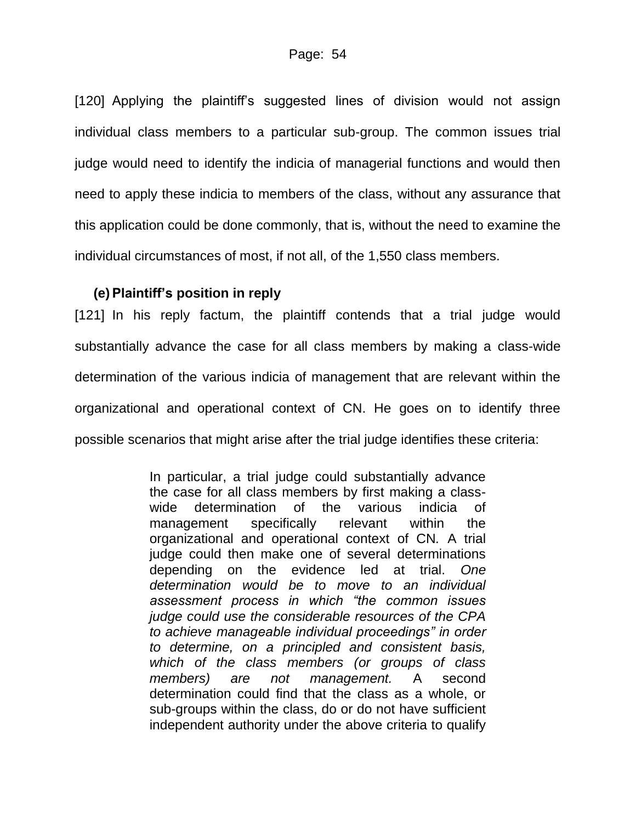[120] Applying the plaintiff's suggested lines of division would not assign individual class members to a particular sub-group. The common issues trial judge would need to identify the indicia of managerial functions and would then need to apply these indicia to members of the class, without any assurance that this application could be done commonly, that is, without the need to examine the individual circumstances of most, if not all, of the 1,550 class members.

## **(e)Plaintiff's position in reply**

[121] In his reply factum, the plaintiff contends that a trial judge would substantially advance the case for all class members by making a class-wide determination of the various indicia of management that are relevant within the organizational and operational context of CN. He goes on to identify three possible scenarios that might arise after the trial judge identifies these criteria:

> In particular, a trial judge could substantially advance the case for all class members by first making a classwide determination of the various indicia of management specifically relevant within the organizational and operational context of CN*.* A trial judge could then make one of several determinations depending on the evidence led at trial. *One determination would be to move to an individual assessment process in which "the common issues judge could use the considerable resources of the CPA to achieve manageable individual proceedings" in order to determine, on a principled and consistent basis, which of the class members (or groups of class members) are not management.* A second determination could find that the class as a whole, or sub-groups within the class, do or do not have sufficient independent authority under the above criteria to qualify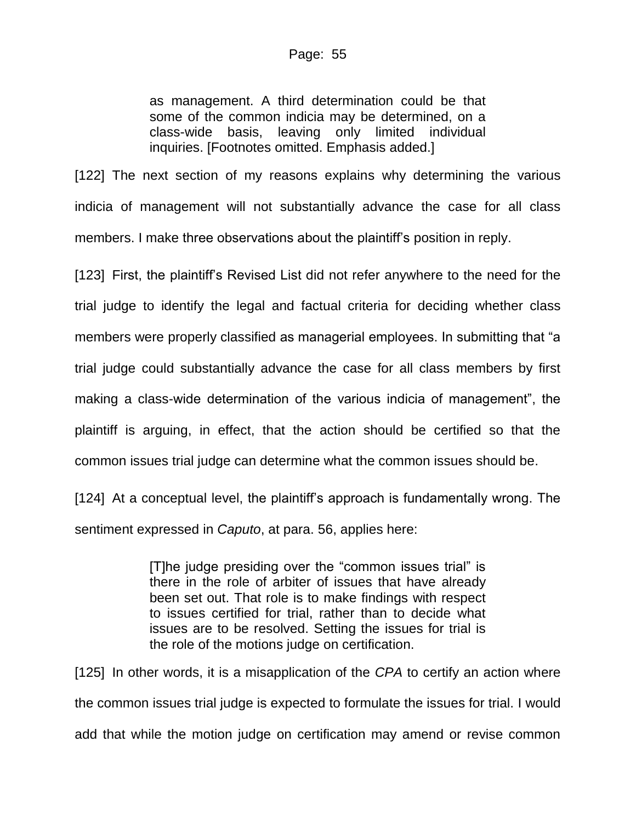as management. A third determination could be that some of the common indicia may be determined, on a class-wide basis, leaving only limited individual inquiries. [Footnotes omitted. Emphasis added.]

[122] The next section of my reasons explains why determining the various indicia of management will not substantially advance the case for all class members. I make three observations about the plaintiff's position in reply.

[123] First, the plaintiff's Revised List did not refer anywhere to the need for the trial judge to identify the legal and factual criteria for deciding whether class members were properly classified as managerial employees. In submitting that "a trial judge could substantially advance the case for all class members by first making a class-wide determination of the various indicia of management", the plaintiff is arguing, in effect, that the action should be certified so that the common issues trial judge can determine what the common issues should be.

[124] At a conceptual level, the plaintiff's approach is fundamentally wrong. The sentiment expressed in *Caputo*, at para. 56, applies here:

> [T]he judge presiding over the "common issues trial" is there in the role of arbiter of issues that have already been set out. That role is to make findings with respect to issues certified for trial, rather than to decide what issues are to be resolved. Setting the issues for trial is the role of the motions judge on certification.

[125] In other words, it is a misapplication of the *CPA* to certify an action where the common issues trial judge is expected to formulate the issues for trial. I would add that while the motion judge on certification may amend or revise common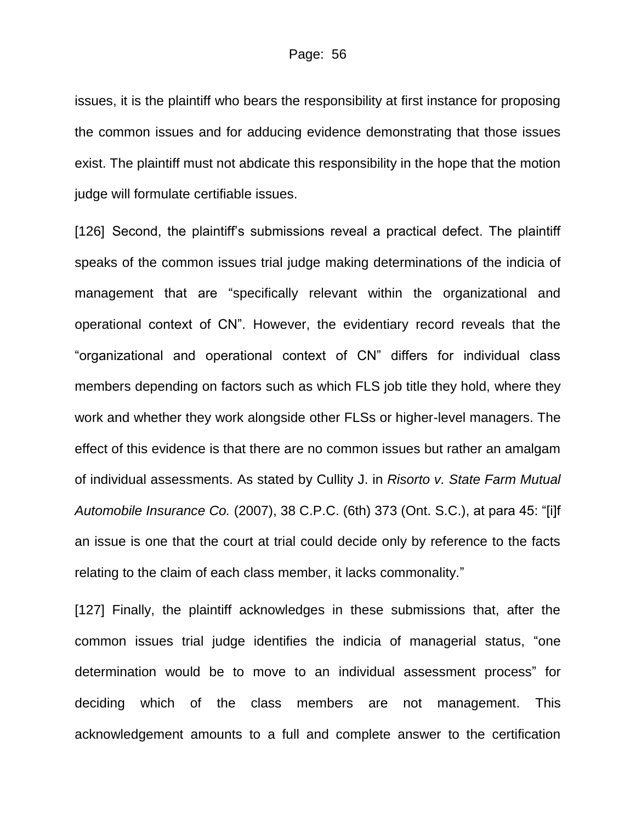issues, it is the plaintiff who bears the responsibility at first instance for proposing the common issues and for adducing evidence demonstrating that those issues exist. The plaintiff must not abdicate this responsibility in the hope that the motion judge will formulate certifiable issues.

[126] Second, the plaintiff's submissions reveal a practical defect. The plaintiff speaks of the common issues trial judge making determinations of the indicia of management that are "specifically relevant within the organizational and operational context of CN". However, the evidentiary record reveals that the "organizational and operational context of CN" differs for individual class members depending on factors such as which FLS job title they hold, where they work and whether they work alongside other FLSs or higher-level managers. The effect of this evidence is that there are no common issues but rather an amalgam of individual assessments. As stated by Cullity J. in *Risorto v. State Farm Mutual Automobile Insurance Co.* (2007), 38 C.P.C. (6th) 373 (Ont. S.C.), at para 45: "[i]f an issue is one that the court at trial could decide only by reference to the facts relating to the claim of each class member, it lacks commonality."

[127] Finally, the plaintiff acknowledges in these submissions that, after the common issues trial judge identifies the indicia of managerial status, "one determination would be to move to an individual assessment process" for deciding which of the class members are not management. This acknowledgement amounts to a full and complete answer to the certification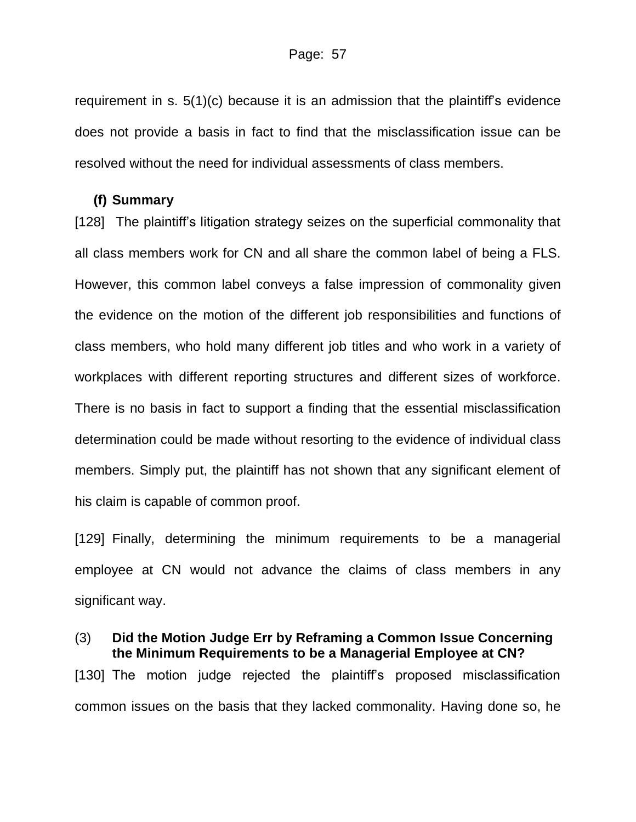requirement in s. 5(1)(c) because it is an admission that the plaintiff's evidence does not provide a basis in fact to find that the misclassification issue can be resolved without the need for individual assessments of class members.

#### **(f) Summary**

[128] The plaintiff's litigation strategy seizes on the superficial commonality that all class members work for CN and all share the common label of being a FLS. However, this common label conveys a false impression of commonality given the evidence on the motion of the different job responsibilities and functions of class members, who hold many different job titles and who work in a variety of workplaces with different reporting structures and different sizes of workforce. There is no basis in fact to support a finding that the essential misclassification determination could be made without resorting to the evidence of individual class members. Simply put, the plaintiff has not shown that any significant element of his claim is capable of common proof.

[129] Finally, determining the minimum requirements to be a managerial employee at CN would not advance the claims of class members in any significant way.

### <span id="page-56-0"></span>(3) **Did the Motion Judge Err by Reframing a Common Issue Concerning the Minimum Requirements to be a Managerial Employee at CN?**

[130] The motion judge rejected the plaintiff's proposed misclassification common issues on the basis that they lacked commonality. Having done so, he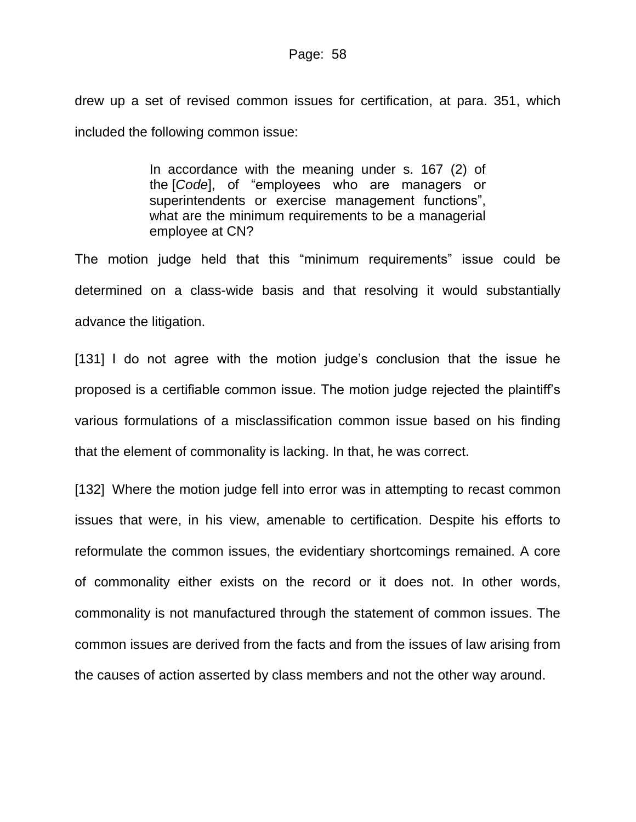drew up a set of revised common issues for certification, at para. 351, which included the following common issue:

> In accordance with the meaning under s. 167 (2) of the [*Code*], of "employees who are managers or superintendents or exercise management functions", what are the minimum requirements to be a managerial employee at CN?

The motion judge held that this "minimum requirements" issue could be determined on a class-wide basis and that resolving it would substantially advance the litigation.

[131] I do not agree with the motion judge's conclusion that the issue he proposed is a certifiable common issue. The motion judge rejected the plaintiff's various formulations of a misclassification common issue based on his finding that the element of commonality is lacking. In that, he was correct.

[132] Where the motion judge fell into error was in attempting to recast common issues that were, in his view, amenable to certification. Despite his efforts to reformulate the common issues, the evidentiary shortcomings remained. A core of commonality either exists on the record or it does not. In other words, commonality is not manufactured through the statement of common issues. The common issues are derived from the facts and from the issues of law arising from the causes of action asserted by class members and not the other way around.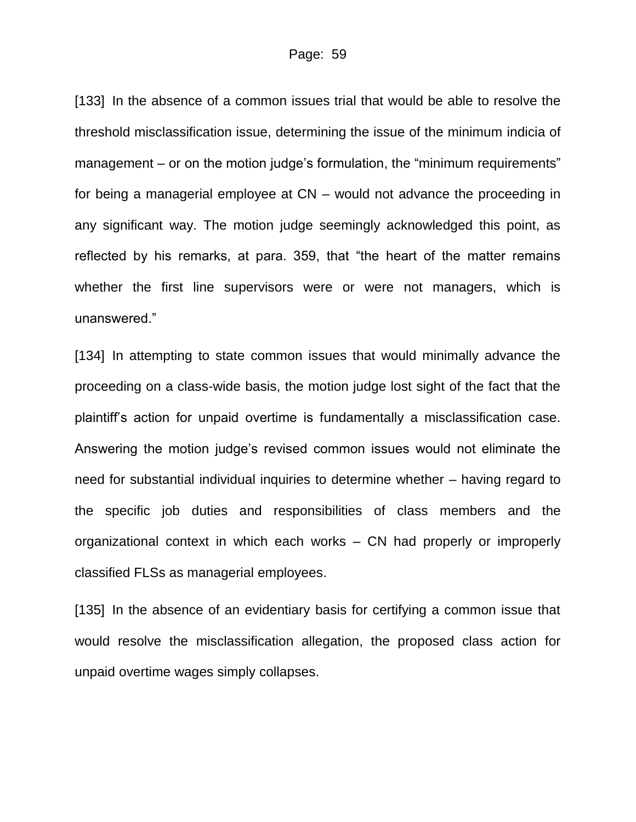[133] In the absence of a common issues trial that would be able to resolve the threshold misclassification issue, determining the issue of the minimum indicia of management – or on the motion judge's formulation, the "minimum requirements" for being a managerial employee at CN – would not advance the proceeding in any significant way. The motion judge seemingly acknowledged this point, as reflected by his remarks, at para. 359, that "the heart of the matter remains whether the first line supervisors were or were not managers, which is unanswered."

[134] In attempting to state common issues that would minimally advance the proceeding on a class-wide basis, the motion judge lost sight of the fact that the plaintiff's action for unpaid overtime is fundamentally a misclassification case. Answering the motion judge's revised common issues would not eliminate the need for substantial individual inquiries to determine whether – having regard to the specific job duties and responsibilities of class members and the organizational context in which each works – CN had properly or improperly classified FLSs as managerial employees.

[135] In the absence of an evidentiary basis for certifying a common issue that would resolve the misclassification allegation, the proposed class action for unpaid overtime wages simply collapses.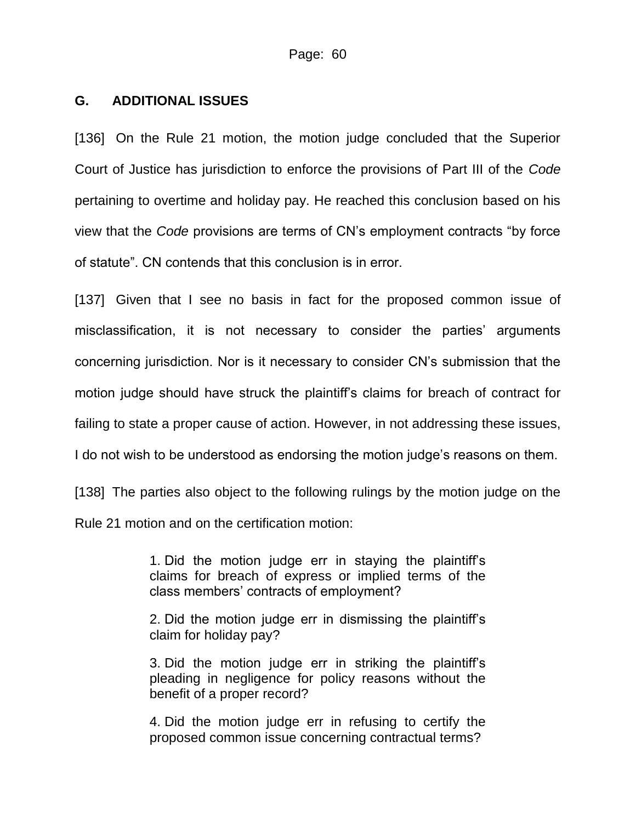### <span id="page-59-0"></span>**G. ADDITIONAL ISSUES**

[136] On the Rule 21 motion, the motion judge concluded that the Superior Court of Justice has jurisdiction to enforce the provisions of Part III of the *Code* pertaining to overtime and holiday pay. He reached this conclusion based on his view that the *Code* provisions are terms of CN's employment contracts "by force of statute". CN contends that this conclusion is in error.

[137] Given that I see no basis in fact for the proposed common issue of misclassification, it is not necessary to consider the parties' arguments concerning jurisdiction. Nor is it necessary to consider CN's submission that the motion judge should have struck the plaintiff's claims for breach of contract for failing to state a proper cause of action. However, in not addressing these issues, I do not wish to be understood as endorsing the motion judge's reasons on them.

[138] The parties also object to the following rulings by the motion judge on the Rule 21 motion and on the certification motion:

> 1. Did the motion judge err in staying the plaintiff's claims for breach of express or implied terms of the class members' contracts of employment?

> 2. Did the motion judge err in dismissing the plaintiff's claim for holiday pay?

> 3. Did the motion judge err in striking the plaintiff's pleading in negligence for policy reasons without the benefit of a proper record?

> 4. Did the motion judge err in refusing to certify the proposed common issue concerning contractual terms?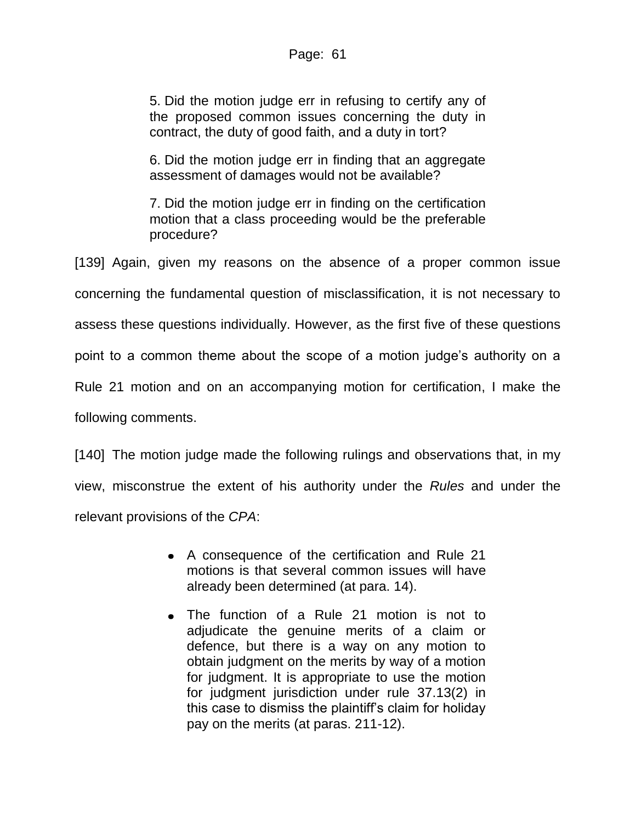5. Did the motion judge err in refusing to certify any of the proposed common issues concerning the duty in contract, the duty of good faith, and a duty in tort?

6. Did the motion judge err in finding that an aggregate assessment of damages would not be available?

7. Did the motion judge err in finding on the certification motion that a class proceeding would be the preferable procedure?

[139] Again, given my reasons on the absence of a proper common issue concerning the fundamental question of misclassification, it is not necessary to assess these questions individually. However, as the first five of these questions point to a common theme about the scope of a motion judge's authority on a Rule 21 motion and on an accompanying motion for certification, I make the following comments.

[140] The motion judge made the following rulings and observations that, in my view, misconstrue the extent of his authority under the *Rules* and under the relevant provisions of the *CPA*:

- A consequence of the certification and Rule 21 motions is that several common issues will have already been determined (at para. 14).
- The function of a Rule 21 motion is not to adjudicate the genuine merits of a claim or defence, but there is a way on any motion to obtain judgment on the merits by way of a motion for judgment. It is appropriate to use the motion for judgment jurisdiction under rule 37.13(2) in this case to dismiss the plaintiff's claim for holiday pay on the merits (at paras. 211-12).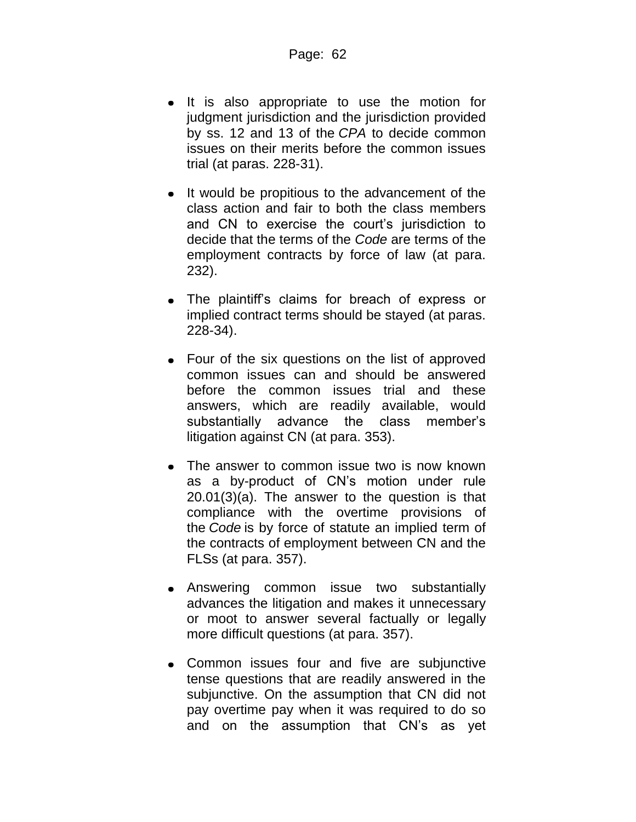- It is also appropriate to use the motion for judgment jurisdiction and the jurisdiction provided by ss. 12 and 13 of the *CPA* to decide common issues on their merits before the common issues trial (at paras. 228-31).
- It would be propitious to the advancement of the class action and fair to both the class members and CN to exercise the court's jurisdiction to decide that the terms of the *Code* are terms of the employment contracts by force of law (at para. 232).
- The plaintiff's claims for breach of express or implied contract terms should be stayed (at paras. 228-34).
- Four of the six questions on the list of approved common issues can and should be answered before the common issues trial and these answers, which are readily available, would substantially advance the class member's litigation against CN (at para. 353).
- The answer to common issue two is now known as a by-product of CN's motion under rule 20.01(3)(a). The answer to the question is that compliance with the overtime provisions of the *Code* is by force of statute an implied term of the contracts of employment between CN and the FLSs (at para. 357).
- Answering common issue two substantially advances the litigation and makes it unnecessary or moot to answer several factually or legally more difficult questions (at para. 357).
- Common issues four and five are subjunctive tense questions that are readily answered in the subjunctive. On the assumption that CN did not pay overtime pay when it was required to do so and on the assumption that CN's as yet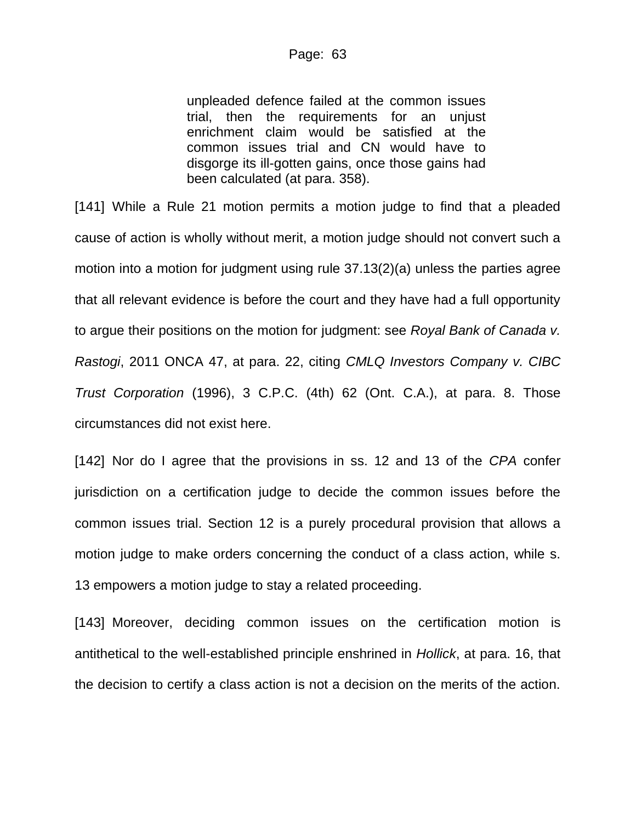unpleaded defence failed at the common issues trial, then the requirements for an unjust enrichment claim would be satisfied at the common issues trial and CN would have to disgorge its ill-gotten gains, once those gains had been calculated (at para. 358).

[141] While a Rule 21 motion permits a motion judge to find that a pleaded cause of action is wholly without merit, a motion judge should not convert such a motion into a motion for judgment using rule 37.13(2)(a) unless the parties agree that all relevant evidence is before the court and they have had a full opportunity to argue their positions on the motion for judgment: see *Royal Bank of Canada v. Rastogi*, 2011 ONCA 47, at para. 22, citing *CMLQ Investors Company v. CIBC Trust Corporation* (1996), 3 C.P.C. (4th) 62 (Ont. C.A.), at para. 8. Those circumstances did not exist here.

[142] Nor do I agree that the provisions in ss. 12 and 13 of the *CPA* confer jurisdiction on a certification judge to decide the common issues before the common issues trial. Section 12 is a purely procedural provision that allows a motion judge to make orders concerning the conduct of a class action, while s. 13 empowers a motion judge to stay a related proceeding.

[143] Moreover, deciding common issues on the certification motion is antithetical to the well-established principle enshrined in *Hollick*, at para. 16, that the decision to certify a class action is not a decision on the merits of the action.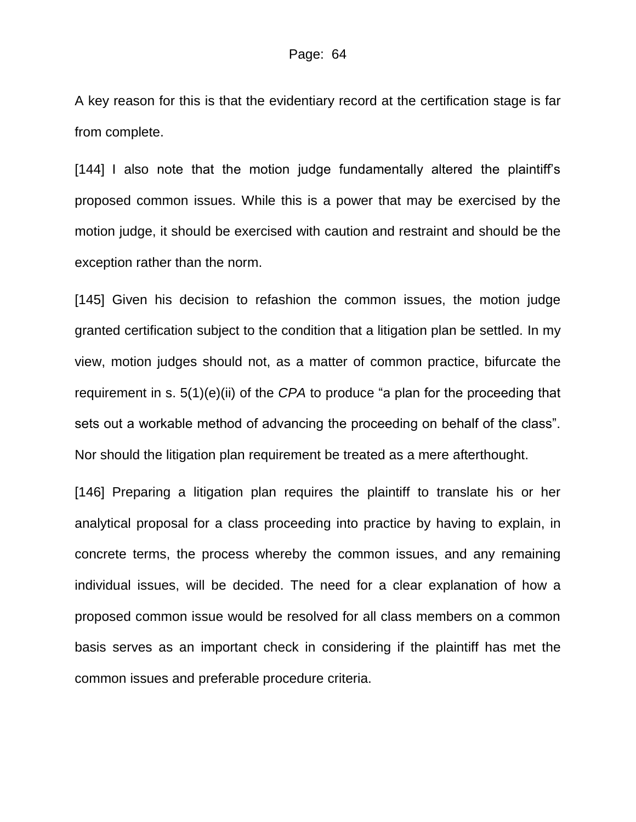A key reason for this is that the evidentiary record at the certification stage is far from complete.

[144] I also note that the motion judge fundamentally altered the plaintiff's proposed common issues. While this is a power that may be exercised by the motion judge, it should be exercised with caution and restraint and should be the exception rather than the norm.

[145] Given his decision to refashion the common issues, the motion judge granted certification subject to the condition that a litigation plan be settled. In my view, motion judges should not, as a matter of common practice, bifurcate the requirement in s. 5(1)(e)(ii) of the *CPA* to produce "a plan for the proceeding that sets out a workable method of advancing the proceeding on behalf of the class". Nor should the litigation plan requirement be treated as a mere afterthought.

[146] Preparing a litigation plan requires the plaintiff to translate his or her analytical proposal for a class proceeding into practice by having to explain, in concrete terms, the process whereby the common issues, and any remaining individual issues, will be decided. The need for a clear explanation of how a proposed common issue would be resolved for all class members on a common basis serves as an important check in considering if the plaintiff has met the common issues and preferable procedure criteria.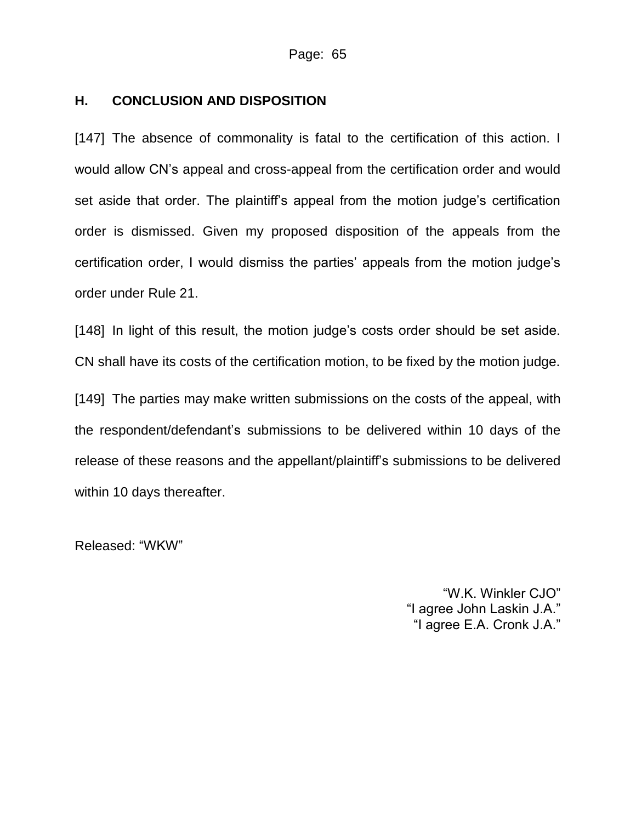### <span id="page-64-0"></span>**H. CONCLUSION AND DISPOSITION**

[147] The absence of commonality is fatal to the certification of this action. I would allow CN's appeal and cross-appeal from the certification order and would set aside that order. The plaintiff's appeal from the motion judge's certification order is dismissed. Given my proposed disposition of the appeals from the certification order, I would dismiss the parties' appeals from the motion judge's order under Rule 21.

[148] In light of this result, the motion judge's costs order should be set aside. CN shall have its costs of the certification motion, to be fixed by the motion judge.

[149] The parties may make written submissions on the costs of the appeal, with the respondent/defendant's submissions to be delivered within 10 days of the release of these reasons and the appellant/plaintiff's submissions to be delivered within 10 days thereafter.

Released: "WKW"

"W.K. Winkler CJO" "I agree John Laskin J.A." "I agree E.A. Cronk J.A."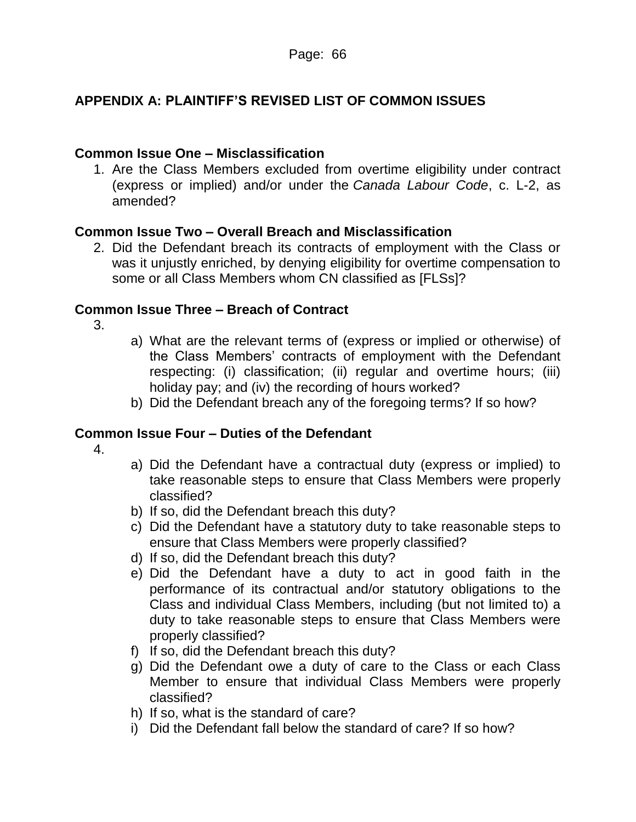## <span id="page-65-0"></span>**APPENDIX A: PLAINTIFF'S REVISED LIST OF COMMON ISSUES**

## **Common Issue One – Misclassification**

1. Are the Class Members excluded from overtime eligibility under contract (express or implied) and/or under the *Canada Labour Code*, c. L-2, as amended?

## **Common Issue Two – Overall Breach and Misclassification**

2. Did the Defendant breach its contracts of employment with the Class or was it unjustly enriched, by denying eligibility for overtime compensation to some or all Class Members whom CN classified as [FLSs]?

## **Common Issue Three – Breach of Contract**

3.

- a) What are the relevant terms of (express or implied or otherwise) of the Class Members' contracts of employment with the Defendant respecting: (i) classification; (ii) regular and overtime hours; (iii) holiday pay; and (iv) the recording of hours worked?
- b) Did the Defendant breach any of the foregoing terms? If so how?

## **Common Issue Four – Duties of the Defendant**

4.

- a) Did the Defendant have a contractual duty (express or implied) to take reasonable steps to ensure that Class Members were properly classified?
- b) If so, did the Defendant breach this duty?
- c) Did the Defendant have a statutory duty to take reasonable steps to ensure that Class Members were properly classified?
- d) If so, did the Defendant breach this duty?
- e) Did the Defendant have a duty to act in good faith in the performance of its contractual and/or statutory obligations to the Class and individual Class Members, including (but not limited to) a duty to take reasonable steps to ensure that Class Members were properly classified?
- f) If so, did the Defendant breach this duty?
- g) Did the Defendant owe a duty of care to the Class or each Class Member to ensure that individual Class Members were properly classified?
- h) If so, what is the standard of care?
- i) Did the Defendant fall below the standard of care? If so how?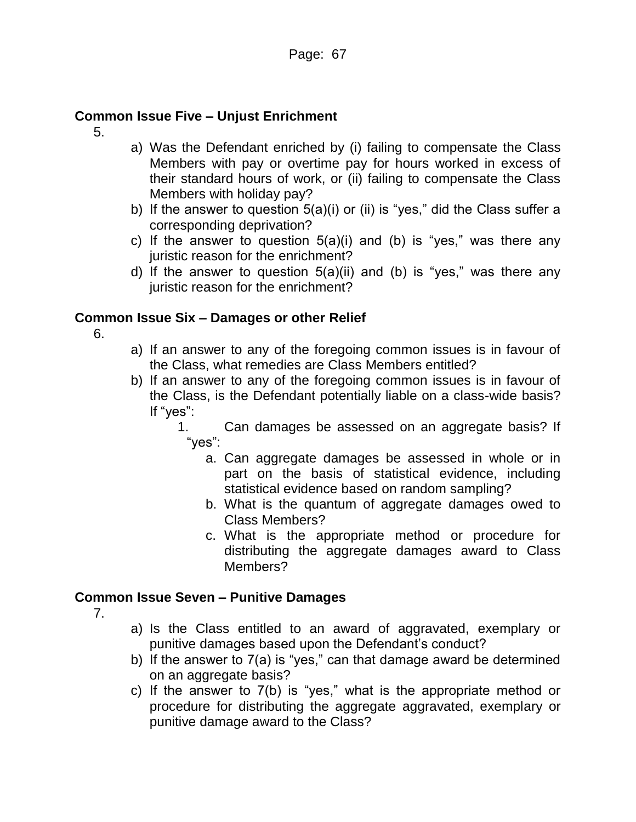## **Common Issue Five – Unjust Enrichment**

- 5.
- a) Was the Defendant enriched by (i) failing to compensate the Class Members with pay or overtime pay for hours worked in excess of their standard hours of work, or (ii) failing to compensate the Class Members with holiday pay?
- b) If the answer to question  $5(a)(i)$  or (ii) is "yes," did the Class suffer a corresponding deprivation?
- c) If the answer to question  $5(a)(i)$  and (b) is "yes," was there any juristic reason for the enrichment?
- d) If the answer to question 5(a)(ii) and (b) is "yes," was there any juristic reason for the enrichment?

## **Common Issue Six – Damages or other Relief**

6.

- a) If an answer to any of the foregoing common issues is in favour of the Class, what remedies are Class Members entitled?
- b) If an answer to any of the foregoing common issues is in favour of the Class, is the Defendant potentially liable on a class-wide basis? If "yes":

1. Can damages be assessed on an aggregate basis? If "yes":

- a. Can aggregate damages be assessed in whole or in part on the basis of statistical evidence, including statistical evidence based on random sampling?
- b. What is the quantum of aggregate damages owed to Class Members?
- c. What is the appropriate method or procedure for distributing the aggregate damages award to Class Members?

## **Common Issue Seven – Punitive Damages**

- 7.
- a) Is the Class entitled to an award of aggravated, exemplary or punitive damages based upon the Defendant's conduct?
- b) If the answer to 7(a) is "yes," can that damage award be determined on an aggregate basis?
- c) If the answer to 7(b) is "yes," what is the appropriate method or procedure for distributing the aggregate aggravated, exemplary or punitive damage award to the Class?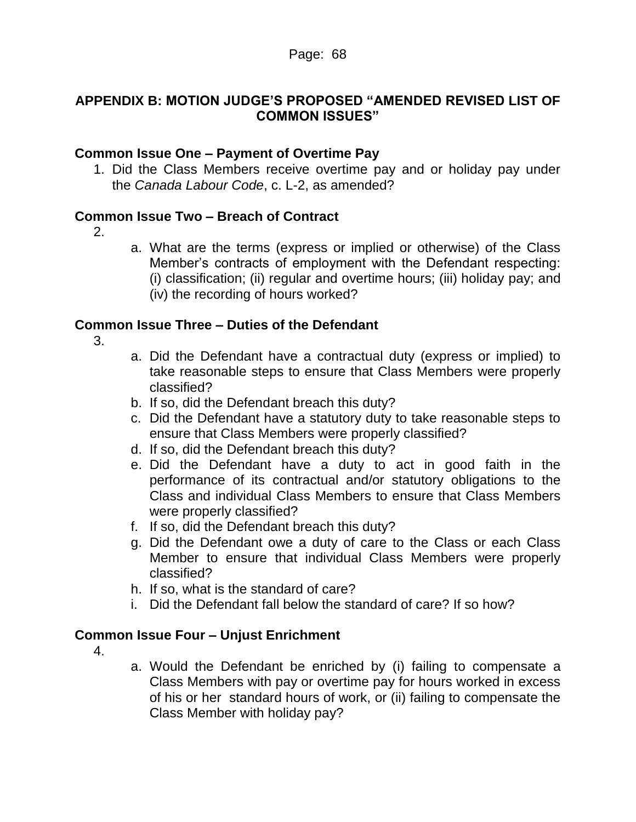## <span id="page-67-0"></span>**APPENDIX B: MOTION JUDGE'S PROPOSED "AMENDED REVISED LIST OF COMMON ISSUES"**

## **Common Issue One – Payment of Overtime Pay**

1. Did the Class Members receive overtime pay and or holiday pay under the *Canada Labour Code*, c. L-2, as amended?

## **Common Issue Two – Breach of Contract**

- 2.
- a. What are the terms (express or implied or otherwise) of the Class Member's contracts of employment with the Defendant respecting: (i) classification; (ii) regular and overtime hours; (iii) holiday pay; and (iv) the recording of hours worked?

## **Common Issue Three – Duties of the Defendant**

3.

- a. Did the Defendant have a contractual duty (express or implied) to take reasonable steps to ensure that Class Members were properly classified?
- b. If so, did the Defendant breach this duty?
- c. Did the Defendant have a statutory duty to take reasonable steps to ensure that Class Members were properly classified?
- d. If so, did the Defendant breach this duty?
- e. Did the Defendant have a duty to act in good faith in the performance of its contractual and/or statutory obligations to the Class and individual Class Members to ensure that Class Members were properly classified?
- f. If so, did the Defendant breach this duty?
- g. Did the Defendant owe a duty of care to the Class or each Class Member to ensure that individual Class Members were properly classified?
- h. If so, what is the standard of care?
- i. Did the Defendant fall below the standard of care? If so how?

## **Common Issue Four – Unjust Enrichment**

- 4.
- a. Would the Defendant be enriched by (i) failing to compensate a Class Members with pay or overtime pay for hours worked in excess of his or her standard hours of work, or (ii) failing to compensate the Class Member with holiday pay?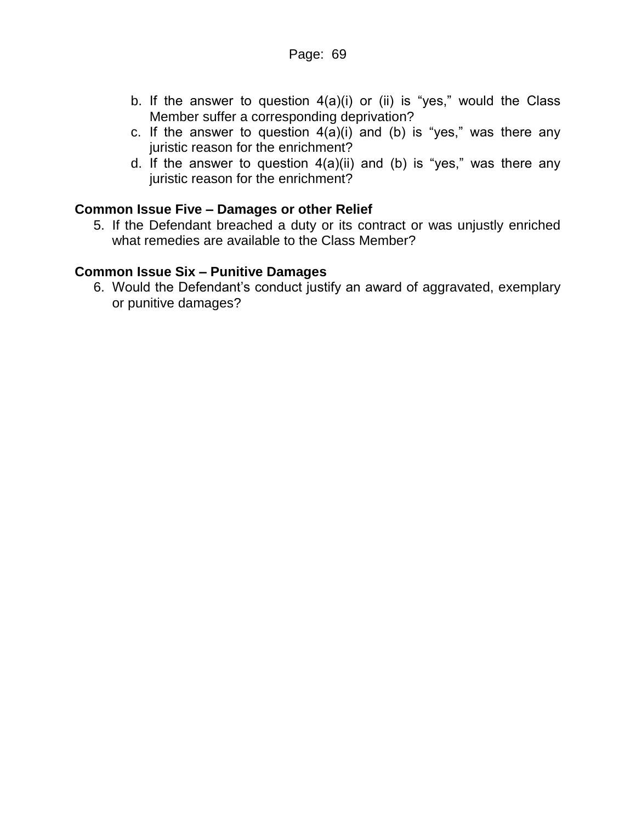- b. If the answer to question  $4(a)(i)$  or (ii) is "yes," would the Class Member suffer a corresponding deprivation?
- c. If the answer to question  $4(a)(i)$  and (b) is "yes," was there any juristic reason for the enrichment?
- d. If the answer to question  $4(a)(ii)$  and (b) is "yes," was there any juristic reason for the enrichment?

## **Common Issue Five – Damages or other Relief**

5. If the Defendant breached a duty or its contract or was unjustly enriched what remedies are available to the Class Member?

## **Common Issue Six – Punitive Damages**

6. Would the Defendant's conduct justify an award of aggravated, exemplary or punitive damages?